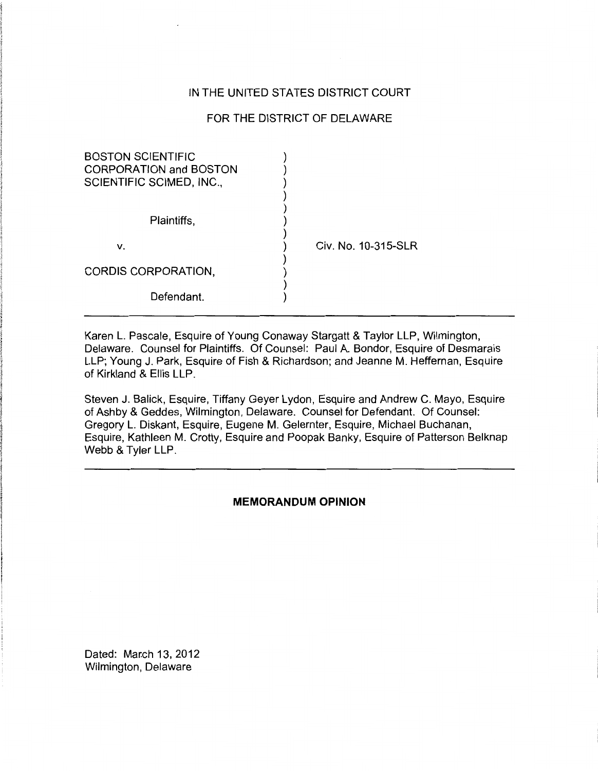# IN THE UNITED STATES DISTRICT COURT

# FOR THE DISTRICT OF DELAWARE

| <b>BOSTON SCIENTIFIC</b><br><b>CORPORATION and BOSTON</b><br>SCIENTIFIC SCIMED, INC., |                     |
|---------------------------------------------------------------------------------------|---------------------|
| Plaintiffs,                                                                           |                     |
| ν.                                                                                    | Civ. No. 10-315-SLR |
| CORDIS CORPORATION,                                                                   |                     |
| Defendant.                                                                            |                     |

Karen L. Pascale, Esquire of Young Conaway Stargatt & Taylor LLP, Wilmington, Delaware. Counsel for Plaintiffs. Of Counsel: Paul A. Bondor, Esquire of Desmarais LLP; Young J. Park, Esquire of Fish & Richardson; and Jeanne M. Heffernan, Esquire of Kirkland & Ellis LLP.

Steven J. Balick, Esquire, Tiffany Geyer Lydon, Esquire and Andrew C. Mayo, Esquire of Ashby & Geddes, Wilmington, Delaware. Counsel for Defendant. Of Counsel: Gregory L. Diskant, Esquire, Eugene M. Gelernter, Esquire, Michael Buchanan, Esquire, Kathleen M. Crotty, Esquire and Poopak Banky, Esquire of Patterson Belknap Webb & Tyler LLP.

# **MEMORANDUM OPINION**

Dated: March 13, 2012 Wilmington, Delaware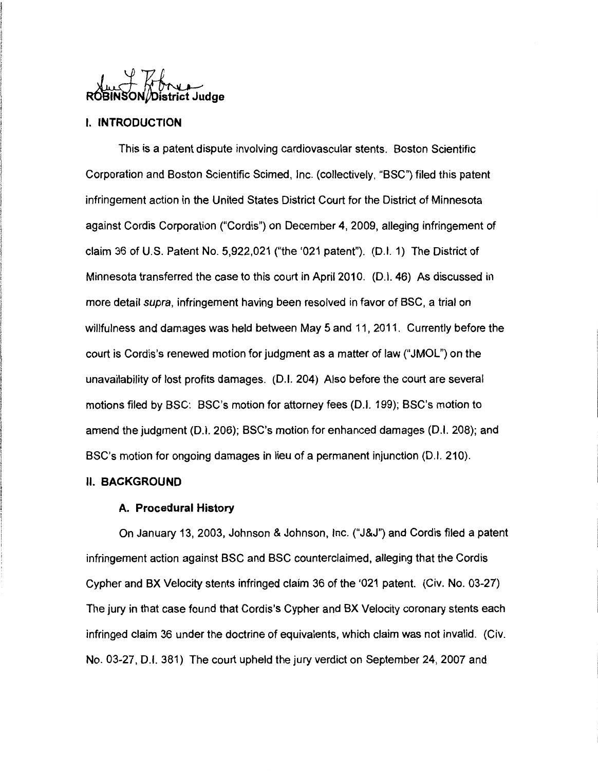# WWWW.<br>ROBINSON/District Judge

# I. **INTRODUCTION**

This is a patent dispute involving cardiovascular stents. Boston Scientific Corporation and Boston Scientific Scimed, Inc. (collectively, "BSC") filed this patent infringement action in the United States District Court for the District of Minnesota against Cordis Corporation ("Cordis") on December 4, 2009, alleging infringement of claim 36 of U.S. Patent No. 5,922,021 ("the '021 patent"). (D.I. 1) The District of Minnesota transferred the case to this court in April 2010. (D.I. 46) As discussed in more detail supra, infringement having been resolved in favor of BSC, a trial on willfulness and damages was held between May 5 and 11, 2011. Currently before the court is Cordis's renewed motion for judgment as a matter of law ("JMOL") on the unavailability of lost profits damages. (D.I. 204) Also before the court are several motions filed by BSC: BSC's motion for attorney fees (D. I. 199); BSC's motion to amend the judgment (D.I. 206); BSC's motion for enhanced damages (D.I. 208); and BSC's motion for ongoing damages in lieu of a permanent injunction (D.I. 210).

## II. **BACKGROUND**

#### **A. Procedural History**

On January 13, 2003, Johnson & Johnson, Inc. ("J&J") and Cordis filed a patent infringement action against BSC and BSC counterclaimed, alleging that the Cordis Cypher and BX Velocity stents infringed claim 36 of the '021 patent. (Civ. No. 03-27) The jury in that case found that Cordis's Cypher and BX Velocity coronary stents each infringed claim 36 under the doctrine of equivalents, which claim was not invalid. (Civ. No. 03-27, D.l. 381) The court upheld the jury verdict on September 24, 2007 and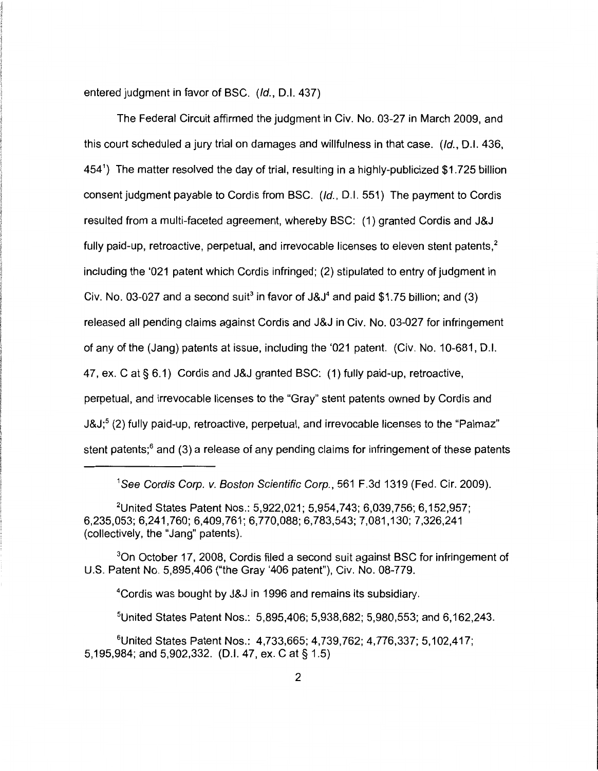entered judgment in favor of BSC. (/d., D.l. 437)

The Federal Circuit affirmed the judgment in Civ. No. 03-27 in March 2009, and this court scheduled a jury trial on damages and willfulness in that case. *(/d.,* D.l. 436, 454<sup>1</sup> ) The matter resolved the day of trial, resulting in a highly-publicized \$1.725 billion consent judgment payable to Cordis from BSC. *(/d.,* D.l. 551) The payment to Cordis resulted from a multi-faceted agreement, whereby BSC: (1) granted Cordis and J&J fully paid-up, retroactive, perpetual, and irrevocable licenses to eleven stent patents, $2$ including the '021 patent which Cordis infringed; (2) stipulated to entry of judgment in Civ. No. 03-027 and a second suit<sup>3</sup> in favor of  $J&J<sup>4</sup>$  and paid \$1.75 billion; and (3) released all pending claims against Cordis and J&J in Civ. No. 03-027 for infringement of any of the (Jang) patents at issue, including the '021 patent. (Civ. No. 10-681, D.l. 47, ex. Cat§ 6.1) Cordis and J&J granted BSC: (1) fully paid-up, retroactive, perpetual, and irrevocable licenses to the "Gray" stent patents owned by Cordis and J&J;<sup>5</sup> (2) fully paid-up, retroactive, perpetual, and irrevocable licenses to the "Palmaz" stent patents; $<sup>6</sup>$  and (3) a release of any pending claims for infringement of these patents</sup>

1 See Cordis Corp. v. Boston Scientific Corp., 561 F.3d 1319 (Fed. Cir. 2009).

3 0n October 17, 2008, Cordis filed a second suit against BSC for infringement of U.S. Patent No. 5,895,406 ("the Gray '406 patent"), Civ. No. 08-779.

4 Cordis was bought by J&J in 1996 and remains its subsidiary.

5 United States Patent Nos.: 5,895,406; 5,938,682; 5,980,553; and 6, 162,243.

<sup>6</sup>United States Patent Nos.: 4, 733, 665; 4, 739, 762; 4, 776, 337; 5, 102, 417; 5, 195,984; and 5,902,332. (D.I. 47, ex. Cat§ 1.5)

<sup>&</sup>lt;sup>2</sup>United States Patent Nos.: 5,922,021; 5,954,743; 6,039,756; 6,152,957; 6,235,053; 6,241,760; 6,409,761; 6,770,088; 6,783,543; 7,081,130; 7,326,241 (collectively, the "Jang" patents).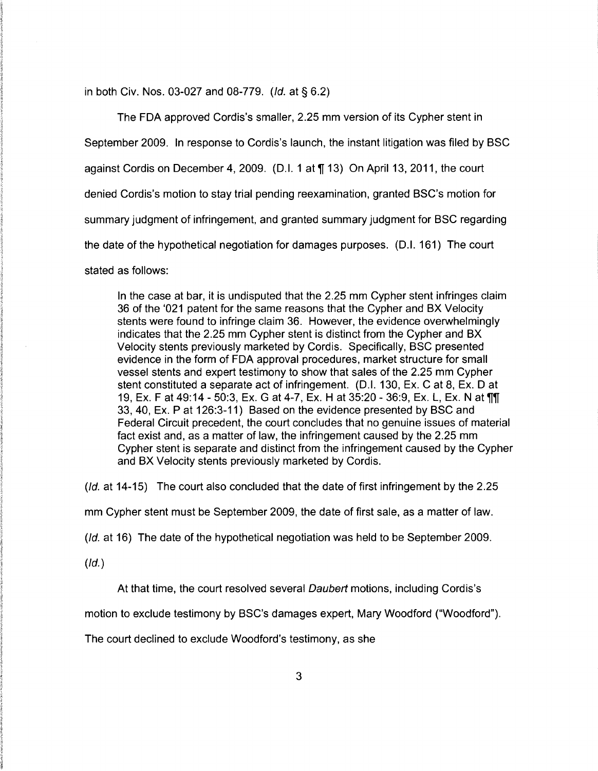in both Civ. Nos. 03-027 and 08-779. (/d. at§ 6.2)

The FDA approved Cordis's smaller, 2.25 mm version of its Cypher stent in September 2009. In response to Cordis's launch, the instant litigation was filed by BSC against Cordis on December 4, 2009. (D.I. 1 at  $\P$  13) On April 13, 2011, the court denied Cordis's motion to stay trial pending reexamination, granted BSC's motion for summary judgment of infringement, and granted summary judgment for BSC regarding the date of the hypothetical negotiation for damages purposes. (D.I. 161) The court stated as follows:

In the case at bar, it is undisputed that the 2.25 mm Cypher stent infringes claim 36 of the '021 patent for the same reasons that the Cypher and BX Velocity stents were found to infringe claim 36. However, the evidence overwhelmingly indicates that the 2.25 mm Cypher stent is distinct from the Cypher and BX Velocity stents previously marketed by Cordis. Specifically, BSC presented evidence in the form of FDA approval procedures, market structure for small vessel stents and expert testimony to show that sales of the 2.25 mm Cypher stent constituted a separate act of infringement. (D.I. 130, Ex. C at 8, Ex. D at 19, Ex. F at 49:14 - 50:3, Ex. G at 4-7, Ex. H at 35:20 - 36:9, Ex. L, Ex. N at TIL 33, 40, Ex. P at 126:3-11) Based on the evidence presented by BSC and Federal Circuit precedent, the court concludes that no genuine issues of material fact exist and, as a matter of law, the infringement caused by the 2.25 mm Cypher stent is separate and distinct from the infringement caused by the Cypher and BX Velocity stents previously marketed by Cordis.

(/d. at 14-15) The court also concluded that the date of first infringement by the 2.25

mm Cypher stent must be September 2009, the date of first sale, as a matter of law.

(/d. at 16) The date of the hypothetical negotiation was held to be September 2009.

 $(ld.)$ 

At that time, the court resolved several *Daubert* motions, including Cordis's

motion to exclude testimony by BSC's damages expert, Mary Woodford ("Woodford").

The court declined to exclude Woodford's testimony, as she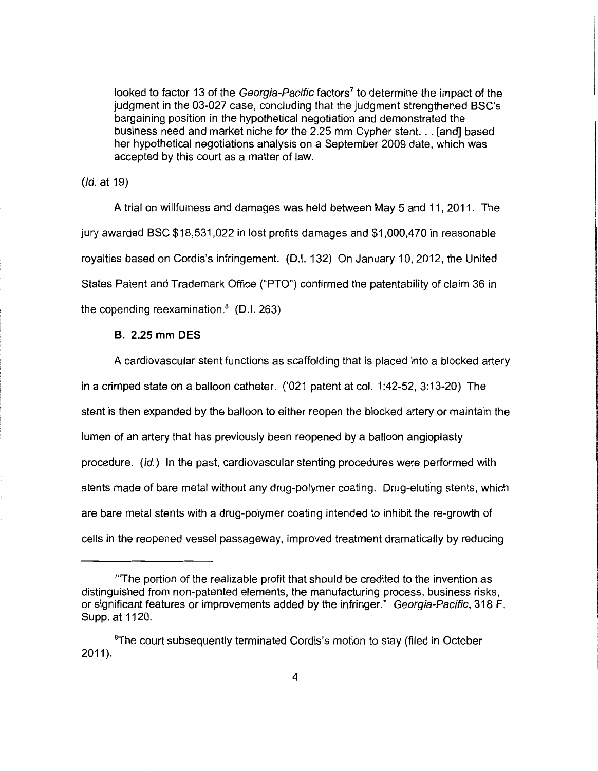looked to factor 13 of the Georgia-Pacific factors<sup>7</sup> to determine the impact of the judgment in the 03-027 case, concluding that the judgment strengthened BSC's bargaining position in the hypothetical negotiation and demonstrated the business need and market niche for the 2.25 mm Cypher stent. .. [and] based her hypothetical negotiations analysis on a September 2009 date, which was accepted by this court as a matter of law.

(/d. at 19)

A trial on willfulness and damages was held between May 5 and 11, 2011. The jury awarded BSC \$18,531,022 in lost profits damages and \$1,000,470 in reasonable royalties based on Cordis's infringement. (0.1. 132) On January 10, 2012, the United States Patent and Trademark Office ("PTO") confirmed the patentability of claim 36 in the copending reexamination. $8$  (D.I. 263)

# **B. 2.25 mm DES**

A cardiovascular stent functions as scaffolding that is placed into a blocked artery in a crimped state on a balloon catheter. ('021 patent at col. 1 :42-52, 3: 13-20) The stent is then expanded by the balloon to either reopen the blocked artery or maintain the lumen of an artery that has previously been reopened by a balloon angioplasty procedure. (/d.) In the past, cardiovascular stenting procedures were performed with stents made of bare metal without any drug-polymer coating. Drug-eluting stents, which are bare metal stents with a drug-polymer coating intended to inhibit the re-growth of cells in the reopened vessel passageway, improved treatment dramatically by reducing

<sup>&</sup>lt;sup>7</sup> The portion of the realizable profit that should be credited to the invention as distinguished from non-patented elements, the manufacturing process, business risks, or significant features or improvements added by the infringer." Georgia-Pacific, 318 F. Supp. at 1120.

<sup>&</sup>lt;sup>8</sup>The court subsequently terminated Cordis's motion to stay (filed in October  $2011$ ).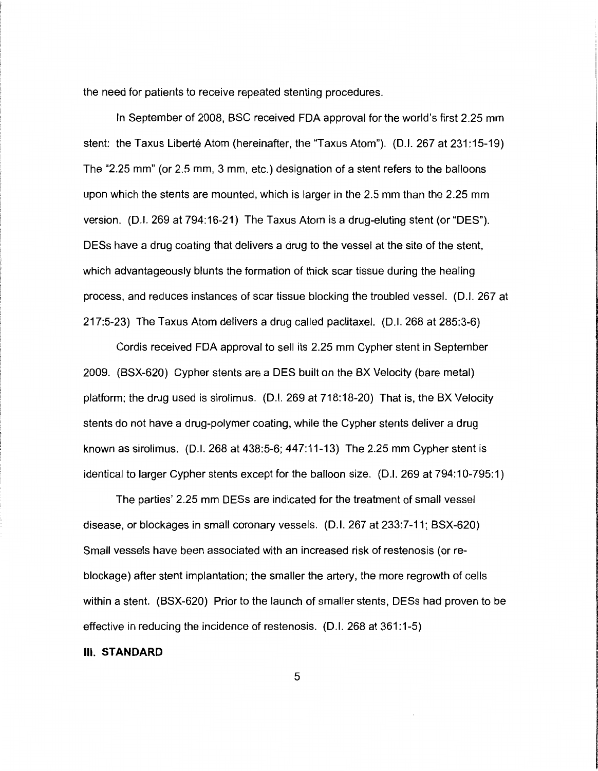the need for patients to receive repeated stenting procedures.

In September of 2008, BSC received FDA approval for the world's first 2.25 mm stent: the Taxus Liberté Atom (hereinafter, the "Taxus Atom"). (D.I. 267 at 231:15-19) The "2.25 mm" (or 2.5 mm, 3 mm, etc.) designation of a stent refers to the balloons upon which the stents are mounted, which is larger in the 2.5 mm than the 2.25 mm version. (D.I. 269 at 794:16-21) The Taxus Atom is a drug-eluting stent (or "DES"). DESs have a drug coating that delivers a drug to the vessel at the site of the stent, which advantageously blunts the formation of thick scar tissue during the healing process, and reduces instances of scar tissue blocking the troubled vessel. (D.I. 267 at 217:5-23) The Taxus Atom delivers a drug called paclitaxel. (D.I. 268 at 285:3-6)

Cordis received FDA approval to sell its 2.25 mm Cypher stent in September 2009. (BSX-620) Cypher stents are a DES built on the BX Velocity (bare metal) platform; the drug used is sirolimus. (D.I. 269 at 718:18-20) That is, the BX Velocity stents do not have a drug-polymer coating, while the Cypher stents deliver a drug known as sirolimus. (D.I. 268 at 438:5-6; 447:11-13) The 2.25 mm Cypher stent is identical to larger Cypher stents except for the balloon size. (D.I. 269 at 794:10-795:1)

The parties' 2.25 mm DESs are indicated for the treatment of small vessel disease, or blockages in small coronary vessels. (D.I. 267 at 233:7-11; BSX-620) Small vessels have been associated with an increased risk of restenosis (or reblockage) after stent implantation; the smaller the artery, the more regrowth of cells within a stent. (BSX-620) Prior to the launch of smaller stents, DESs had proven to be effective in reducing the incidence of restenosis. (D.I. 268 at 361:1-5)

#### Ill. **STANDARD**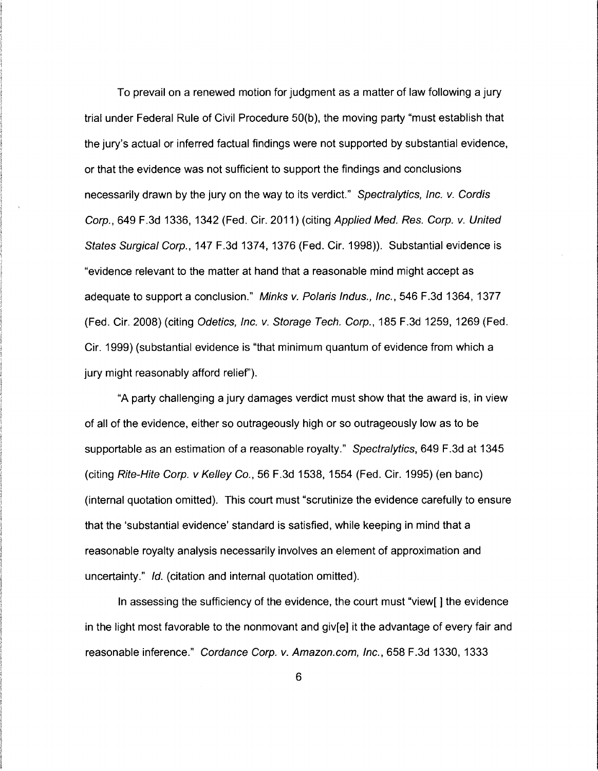To prevail on a renewed motion for judgment as a matter of law following a jury trial under Federal Rule of Civil Procedure 50(b ), the moving party "must establish that the jury's actual or inferred factual findings were not supported by substantial evidence, or that the evidence was not sufficient to support the findings and conclusions necessarily drawn by the jury on the way to its verdict." Spectralytics, Inc. v. Cordis Corp., 649 F.3d 1336, 1342 (Fed. Cir. 2011) (citing Applied Med. Res. Corp. v. United States Surgical Corp., 147 F.3d 1374, 1376 (Fed. Cir. 1998)). Substantial evidence is "evidence relevant to the matter at hand that a reasonable mind might accept as adequate to support a conclusion." Minks v. Polaris Indus., Inc., 546 F.3d 1364, 1377 (Fed. Cir. 2008) (citing Odetics, Inc. v. Storage Tech. Corp., 185 F.3d 1259, 1269 (Fed. Cir. 1999) (substantial evidence is "that minimum quantum of evidence from which a jury might reasonably afford relief').

"A party challenging a jury damages verdict must show that the award is, in view of all of the evidence, either so outrageously high or so outrageously low as to be supportable as an estimation of a reasonable royalty." Spectralytics, 649 F.3d at 1345 (citing Rite-Hite Corp. v Kelley Co., 56 F.3d 1538, 1554 (Fed. Cir. 1995) (en bane) (internal quotation omitted). This court must "scrutinize the evidence carefully to ensure that the 'substantial evidence' standard is satisfied, while keeping in mind that a reasonable royalty analysis necessarily involves an element of approximation and uncertainty." */d.* (citation and internal quotation omitted).

In assessing the sufficiency of the evidence, the court must "view[ ] the evidence in the light most favorable to the nonmovant and giv[e] it the advantage of every fair and reasonable inference." Cordance Corp. v. Amazon.com, Inc., 658 F.3d 1330, 1333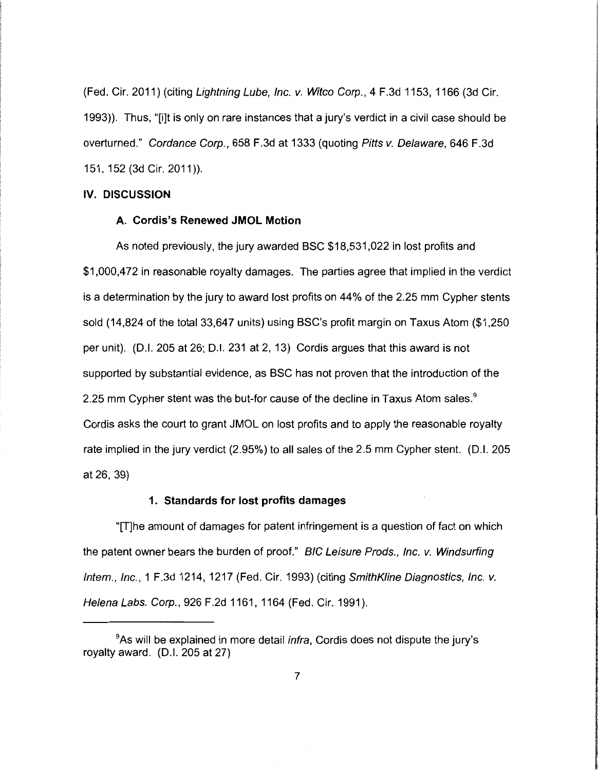(Fed. Cir. 2011) (citing Lightning Lube, Inc. v. Witco Corp., 4 F.3d 1153, 1166 (3d Cir. 1993)). Thus, "[i]t is only on rare instances that a jury's verdict in a civil case should be overturned." Cordance Corp., 658 F.3d at 1333 (quoting Pitts v. Delaware, 646 F.3d 151, 152 (3d Cir. 2011 )).

# **IV. DISCUSSION**

## **A. Cordis's Renewed JMOL Motion**

As noted previously, the jury awarded BSC \$18,531,022 in lost profits and \$1,000,472 in reasonable royalty damages. The parties agree that implied in the verdict is a determination by the jury to award lost profits on 44% of the 2.25 mm Cypher stents sold (14,824 of the total 33,647 units) using BSC's profit margin on Taxus Atom (\$1,250 per unit). (0.1. 205 at 26; 0.1. 231 at 2, 13) Cordis argues that this award is not supported by substantial evidence, as BSC has not proven that the introduction of the 2.25 mm Cypher stent was the but-for cause of the decline in Taxus Atom sales.<sup>9</sup> Cordis asks the court to grant JMOL on lost profits and to apply the reasonable royalty rate implied in the jury verdict (2.95%) to all sales of the 2.5 mm Cypher stent. (0.1. 205 at 26, 39)

## **1. Standards for lost profits damages**

"[T]he amount of damages for patent infringement is a question of fact on which the patent owner bears the burden of proof." BIG Leisure Prods., Inc. v. Windsurfing Intern., Inc., 1 F.3d 1214, 1217 (Fed. Cir. 1993) (citing SmithK/ine Diagnostics, Inc. v. Helena Labs. Corp., 926 F.2d 1161, 1164 (Fed. Cir. 1991).

<sup>&</sup>lt;sup>9</sup>As will be explained in more detail *infra*, Cordis does not dispute the jury's royalty award. (D.I. 205 at 27)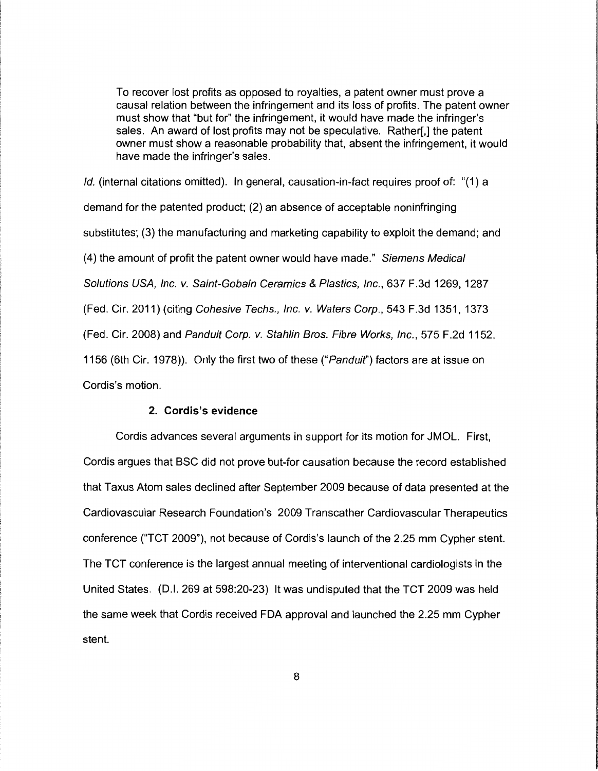To recover lost profits as opposed to royalties, a patent owner must prove a causal relation between the infringement and its loss of profits. The patent owner must show that "but for" the infringement, it would have made the infringer's sales. An award of lost profits may not be speculative. Rather[,] the patent owner must show a reasonable probability that, absent the infringement, it would have made the infringer's sales.

*/d.* (internal citations omitted). In general, causation-in-fact requires proof of: "(1) a demand for the patented product; (2) an absence of acceptable noninfringing substitutes; (3) the manufacturing and marketing capability to exploit the demand; and (4) the amount of profit the patent owner would have made." Siemens Medical Solutions USA, Inc. v. Saint-Gobain Ceramics & Plastics, Inc., 637 F.3d 1269, 1287 (Fed. Cir. 2011) (citing Cohesive Techs., Inc. v. Waters Corp., 543 F.3d 1351,1373 (Fed. Cir. 2008) and Panduit Corp. v. Stahlin Bros. Fibre Works, Inc., 575 F.2d 1152, 1156 (6th Cir. 1978)). Only the first two of these ("Panduif') factors are at issue on Cordis's motion.

## **2. Cordis's evidence**

Cordis advances several arguments in support for its motion for JMOL. First, Cordis argues that BSC did not prove but-for causation because the record established that Taxus Atom sales declined after September 2009 because of data presented at the Cardiovascular Research Foundation's 2009 Transcather Cardiovascular Therapeutics conference ("TCT 2009"), not because of Cordis's launch of the 2.25 mm Cypher stent. The TCT conference is the largest annual meeting of interventional cardiologists in the United States. (D.I. 269 at 598:20-23) It was undisputed that the TCT 2009 was held the same week that Cordis received FDA approval and launched the 2.25 mm Cypher stent.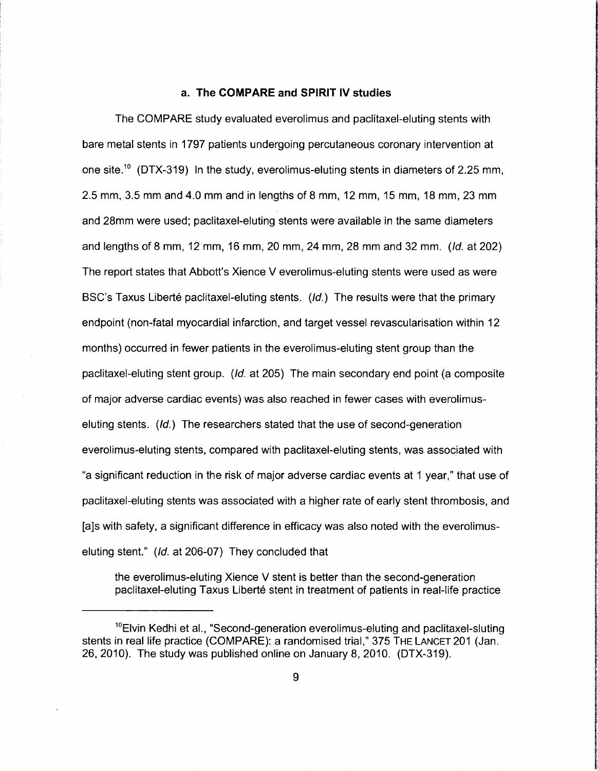#### **a. The COMPARE and SPIRIT IV studies**

The COMPARE study evaluated everolimus and paclitaxel-eluting stents with bare metal stents in 1797 patients undergoing percutaneous coronary intervention at one site.<sup>10</sup> (DTX-319) In the study, everolimus-eluting stents in diameters of 2.25 mm, 2.5 mm, 3.5 mm and 4.0 mm and in lengths of 8 mm, 12 mm, 15 mm, 18 mm, 23 mm and 28mm were used; paclitaxel-eluting stents were available in the same diameters and lengths of 8 mm, 12 mm, 16 mm, 20 mm, 24 mm, 28 mm and 32 mm. *(ld.* at 202) The report states that Abbott's Xience V everolimus-eluting stents were used as were BSC's Taxus Liberté paclitaxel-eluting stents.  $(id.)$  The results were that the primary endpoint (non-fatal myocardial infarction, and target vessel revascularisation within 12 months) occurred in fewer patients in the everolimus-eluting stent group than the paclitaxel-eluting stent group. *(ld.* at 205) The main secondary end point (a composite of major adverse cardiac events) was also reached in fewer cases with everolimuseluting stents. (ld.) The researchers stated that the use of second-generation everolimus-eluting stents, compared with paclitaxel-eluting stents, was associated with "a significant reduction in the risk of major adverse cardiac events at 1 year," that use of paclitaxel-eluting stents was associated with a higher rate of early stent thrombosis, and [a]s with safety, a significant difference in efficacy was also noted with the everolimuseluting stent." *(ld.* at 206-07) They concluded that

In Alberta Contact of Archives

**International Control of Control of School** 

**for the column** 

**International adult (Victoria municipality) and international** 

**Information and Communication** 

Controller Controller

**industrial control** 

the everolimus-eluting Xience V stent is better than the second-generation paclitaxel-eluting Taxus Liberté stent in treatment of patients in real-life practice

<sup>&</sup>lt;sup>10</sup>Elvin Kedhi et al., "Second-generation everolimus-eluting and paclitaxel-sluting stents in real life practice (COMPARE): a randomised trial," 375 THE LANCET 201 (Jan. 26, 2010). The study was published online on January 8, 2010. (DTX-319).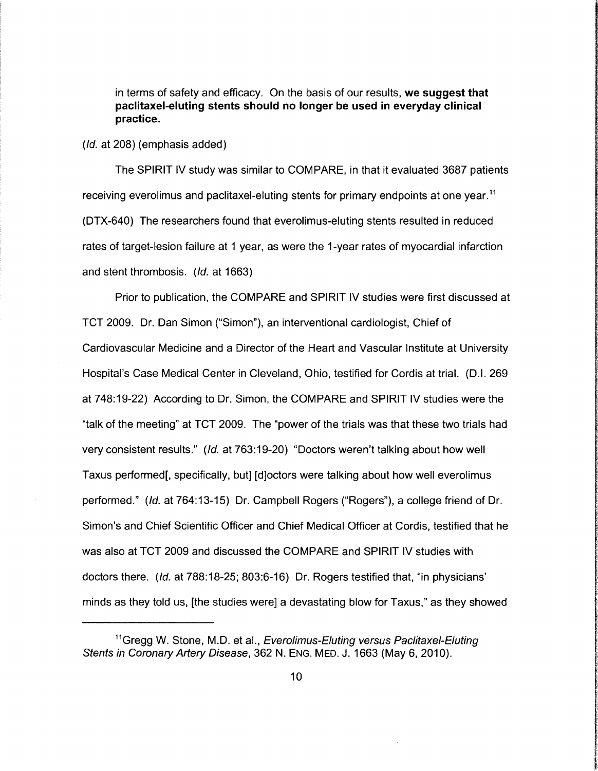in terms of safety and efficacy. On the basis of our results, **we suggest that paclitaxel-eluting stents should no longer be used in everyday clinical practice.** 

(/d. at 208) (emphasis added)

The SPIRIT IV study was similar to COMPARE, in that it evaluated 3687 patients receiving everolimus and paclitaxel-eluting stents for primary endpoints at one year. <sup>11</sup> (DTX-640) The researchers found that everolimus-eluting stents resulted in reduced rates of target-lesion failure at 1 year, as were the 1-year rates of myocardial infarction and stent thrombosis. (*Id.* at 1663)

Prior to publication, the COMPARE and SPIRIT IV studies were first discussed at TCT 2009. Dr. Dan Simon ("Simon"), an interventional cardiologist, Chief of Cardiovascular Medicine and a Director of the Heart and Vascular Institute at University Hospital's Case Medical Center in Cleveland, Ohio, testified for Cordis at trial. (D.I. 269 at 748:19-22) According to Dr. Simon, the COMPARE and SPIRIT IV studies were the "talk of the meeting" at TCT 2009. The "power of the trials was that these two trials had very consistent results." (/d. at 763:19-20) "Doctors weren't talking about how well Taxus performed[, specifically, but] [d]octors were talking about how well everolimus performed." (/d. at 764:13-15) Dr. Campbell Rogers ("Rogers"), a college friend of Dr. Simon's and Chief Scientific Officer and Chief Medical Officer at Cordis, testified that he was also at TCT 2009 and discussed the COMPARE and SPIRIT IV studies with doctors there. (*Id.* at 788:18-25; 803:6-16) Dr. Rogers testified that, "in physicians" minds as they told us, [the studies were] a devastating blow for Taxus," as they showed

<sup>&</sup>lt;sup>11</sup>Gregg W. Stone, M.D. et al., Everolimus-Eluting versus Paclitaxel-Eluting Stents in Coronary Artery Disease, 362 N. ENG. MED. J. 1663 (May 6, 2010).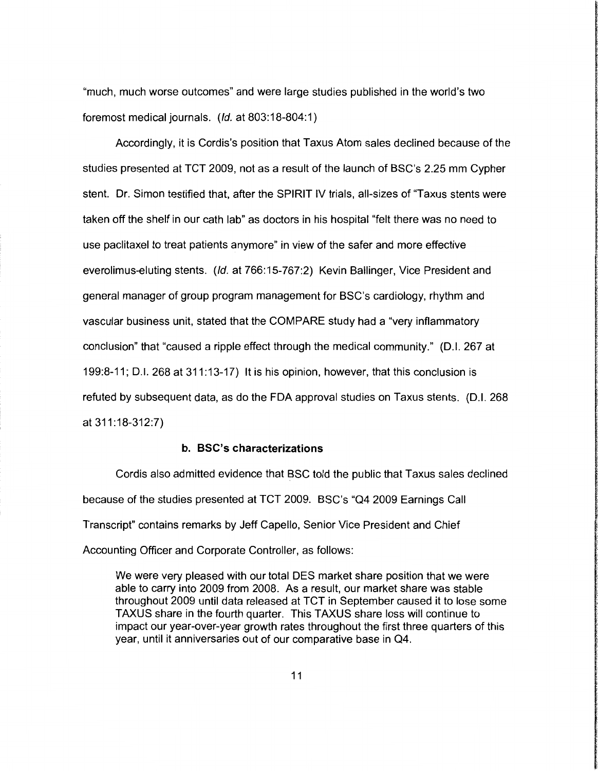"much, much worse outcomes" and were large studies published in the world's two foremost medical journals. (/d. at 803:18-804:1)

Accordingly, it is Cordis's position that Taxus Atom sales declined because of the studies presented at TCT 2009, not as a result of the launch of BSC's 2.25 mm Cypher stent. Dr. Simon testified that, after the SPIRIT IV trials, all-sizes of "Taxus stents were taken off the shelf in our cath lab" as doctors in his hospital "felt there was no need to use paclitaxel to treat patients anymore" in view of the safer and more effective everolimus-eluting stents. (*Id.* at 766:15-767:2) Kevin Ballinger, Vice President and general manager of group program management for BSC's cardiology, rhythm and vascular business unit, stated that the COMPARE study had a "very inflammatory conclusion" that "caused a ripple effect through the medical community." (D.I. 267 at 199:8-11; D.I. 268 at 311:13-17) It is his opinion, however, that this conclusion is refuted by subsequent data, as do the FDA approval studies on Taxus stents. (D.I. 268 at311:18-312:7)

#### **b. BSC's characterizations**

Cordis also admitted evidence that BSC told the public that Taxus sales declined because of the studies presented at TCT 2009. BSC's "Q4 2009 Earnings Call Transcript" contains remarks by Jeff Capello, Senior Vice President and Chief Accounting Officer and Corporate Controller, as follows:

We were very pleased with our total DES market share position that we were able to carry into 2009 from 2008. As a result, our market share was stable throughout 2009 until data released at TCT in September caused it to lose some T AXUS share in the fourth quarter. This TAX US share loss will continue to impact our year-over-year growth rates throughout the first three quarters of this year, until it anniversaries out of our comparative base in Q4.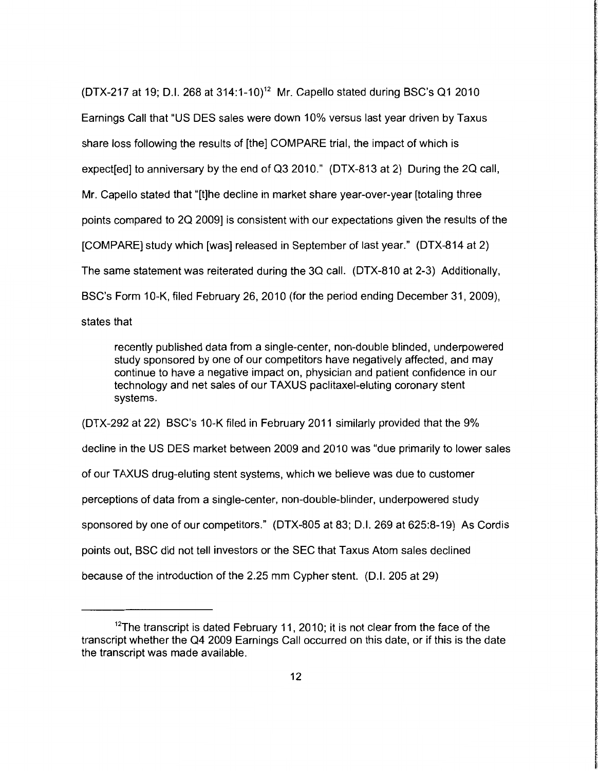(DTX-217 at 19; D.I. 268 at 314:1-10)<sup>12</sup> Mr. Capello stated during BSC's Q1 2010 Earnings Call that "US DES sales were down 10% versus last year driven by Taxus share loss following the results of [the] COMPARE trial, the impact of which is expect[ed] to anniversary by the end of Q3 2010." (DTX-813 at 2) During the 2Q call, Mr. Capello stated that "[t]he decline in market share year-over-year [totaling three points compared to 20 2009] is consistent with our expectations given the results of the [COMPARE] study which [was) released in September of last year." (DTX-814 at 2) The same statement was reiterated during the 30 call. (DTX-810 at 2-3) Additionally, BSC's Form 10-K, filed February 26, 2010 (for the period ending December 31, 2009), states that

recently published data from a single-center, non-double blinded, underpowered study sponsored by one of our competitors have negatively affected, and may continue to have a negative impact on, physician and patient confidence in our technology and net sales of our TAXUS paclitaxel-eluting coronary stent systems.

(DTX-292 at 22) BSC's 10-K filed in February 2011 similarly provided that the 9% decline in the US DES market between 2009 and 2010 was "due primarily to lower sales of our TAXUS drug-eluting stent systems, which we believe was due to customer perceptions of data from a single-center, non-double-blinder, underpowered study sponsored by one of our competitors." (DTX-805 at 83; D.l. 269 at 625:8-19) As Cordis points out, BSC did not tell investors or the SEC that Taxus Atom sales declined because of the introduction of the 2.25 mm Cypher stent. (D.I. 205 at 29)

 $12$ The transcript is dated February 11, 2010; it is not clear from the face of the transcript whether the 04 2009 Earnings Call occurred on this date, or if this is the date the transcript was made available.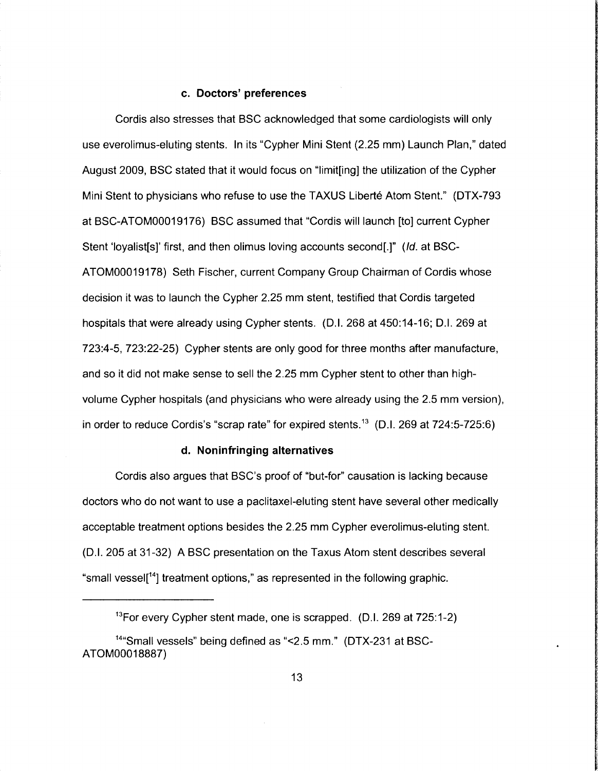### **c. Doctors' preferences**

Cordis also stresses that BSC acknowledged that some cardiologists will only use everolimus-eluting stents. In its "Cypher Mini Stent (2.25 mm) Launch Plan," dated August 2009, BSC stated that it would focus on "limit[ing] the utilization of the Cypher Mini Stent to physicians who refuse to use the TAXUS Liberte Atom Stent." (OTX-793 at BSC-ATOM00019176) BSC assumed that "Cordis will launch [to] current Cypher Stent 'loyalist[s]' first, and then olimus loving accounts second[.]" *(ld.* at BSC-ATOM00019178) Seth Fischer, current Company Group Chairman of Cordis whose decision it was to launch the Cypher 2.25 mm stent, testified that Cordis targeted hospitals that were already using Cypher stents. (D.I. 268 at 450:14-16; D.I. 269 at 723:4-5, 723:22-25) Cypher stents are only good for three months after manufacture, and so it did not make sense to sell the 2.25 mm Cypher stent to other than highvolume Cypher hospitals (and physicians who were already using the 2.5 mm version), in order to reduce Cordis's "scrap rate" for expired stents.<sup>13</sup> (D.I. 269 at  $724:5-725:6$ )

# **d. Noninfringing alternatives**

Cordis also argues that BSC's proof of "but-for" causation is lacking because doctors who do not want to use a paclitaxel-eluting stent have several other medically acceptable treatment options besides the 2.25 mm Cypher everolimus-eluting stent. (0.1. 205 at 31-32) A BSC presentation on the Taxus Atom stent describes several "small vessel[<sup>14</sup>] treatment options," as represented in the following graphic.

 $13$ For every Cypher stent made, one is scrapped. (D.I. 269 at  $725:1-2$ )

<sup>14</sup>"Small vessels" being defined as "<2.5 mm." (OTX-231 at BSC-ATOM00018887)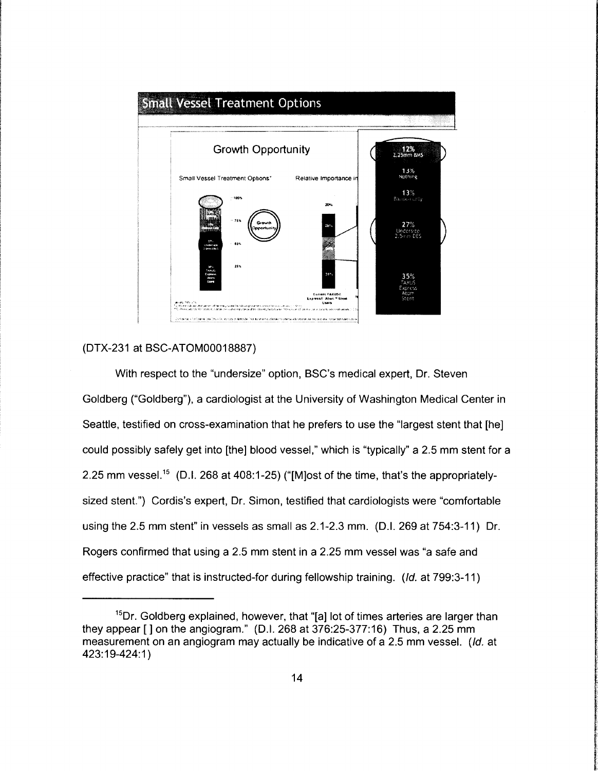

# (DTX-231 at BSC-ATOM00018887)

With respect to the "undersize" option, BSC's medical expert, Dr. Steven Goldberg ("Goldberg"), a cardiologist at the University of Washington Medical Center in Seattle, testified on cross-examination that he prefers to use the "largest stent that [he] could possibly safely get into [the] blood vessel," which is "typically" a 2.5 mm stent for a 2.25 mm vessel.<sup>15</sup> (D.I. 268 at 408:1-25) ("[M]ost of the time, that's the appropriatelysized stent.") Cordis's expert, Dr. Simon, testified that cardiologists were "comfortable using the 2.5 mm stent" in vessels as small as 2.1-2.3 mm. (D.I. 269 at 754:3-11) Dr. Rogers confirmed that using a 2.5 mm stent in a 2.25 mm vessel was "a safe and effective practice" that is instructed-for during fellowship training. (/d. at 799:3-11)

<sup>&</sup>lt;sup>15</sup>Dr. Goldberg explained, however, that "[a] lot of times arteries are larger than they appear  $\lceil$  | on the angiogram." (D.I. 268 at 376:25-377:16) Thus, a 2.25 mm measurement on an angiogram may actually be indicative of a 2.5 mm vessel. (Id. at 423:19-424:1 )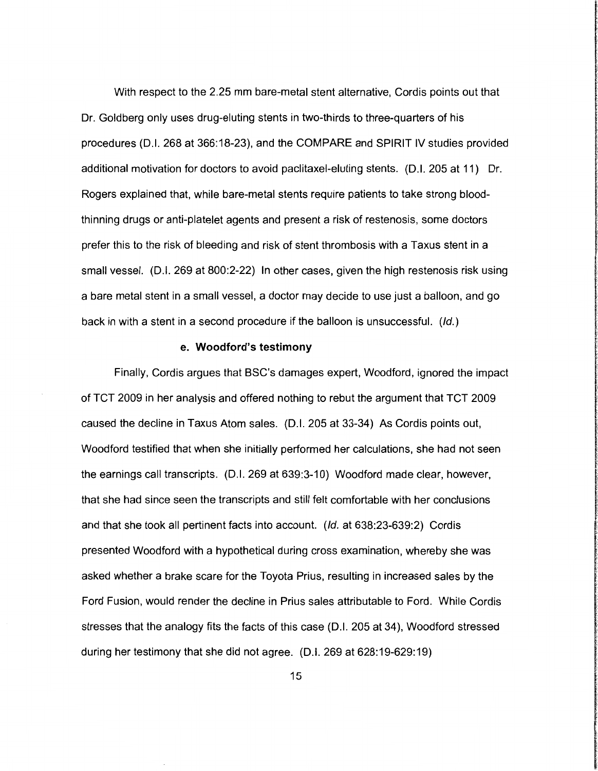With respect to the 2.25 mm bare-metal stent alternative, Cordis points out that Dr. Goldberg only uses drug-eluting stents in two-thirds to three-quarters of his procedures (D.I. 268 at 366:18-23), and the COMPARE and SPIRIT IV studies provided additional motivation for doctors to avoid paclitaxel-eluting stents. (D.I. 205 at 11) Dr. Rogers explained that, while bare-metal stents require patients to take strong bloodthinning drugs or anti-platelet agents and present a risk of restenosis, some doctors prefer this to the risk of bleeding and risk of stent thrombosis with a Taxus stent in a small vessel. (D.I. 269 at 800:2-22) In other cases, given the high restenosis risk using a bare metal stent in a small vessel, a doctor may decide to use just a balloon, and go back in with a stent in a second procedure if the balloon is unsuccessful. (/d.)

#### **e. Woodford's testimony**

Finally, Cordis argues that BSC's damages expert, Woodford, ignored the impact of TCT 2009 in her analysis and offered nothing to rebut the argument that TCT 2009 caused the decline in Taxus Atom sales. (D. I. 205 at 33-34) As Cordis points out, Woodford testified that when she initially performed her calculations, she had not seen the earnings call transcripts. (D.I. 269 at 639:3-10) Woodford made clear, however, that she had since seen the transcripts and still felt comfortable with her conclusions and that she took all pertinent facts into account. *(/d.* at 638:23-639:2) Cordis presented Woodford with a hypothetical during cross examination, whereby she was asked whether a brake scare for the Toyota Prius, resulting in increased sales by the Ford Fusion, would render the decline in Prius sales attributable to Ford. While Cordis stresses that the analogy fits the facts of this case (D.I. 205 at 34), Woodford stressed during her testimony that she did not agree. (D.I. 269 at 628:19-629:19)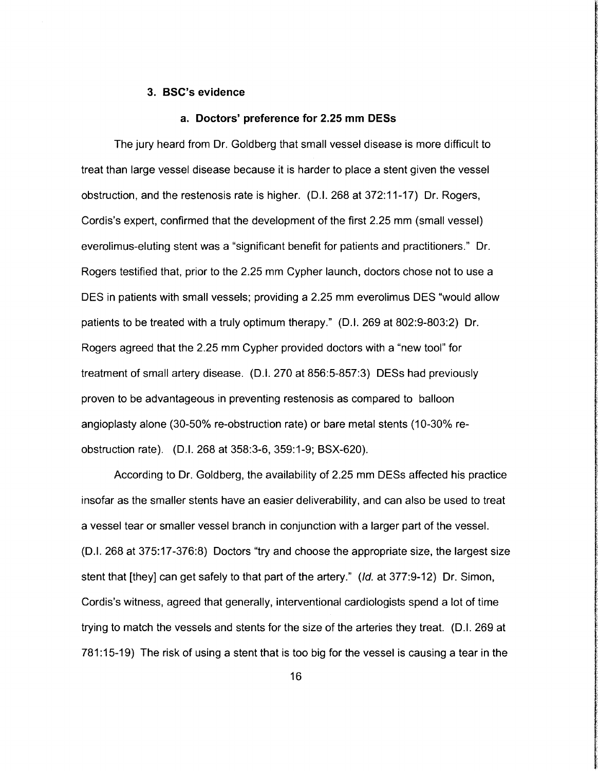## **3. BSC's evidence**

#### **a. Doctors' preference for 2.25 mm DESs**

The jury heard from Dr. Goldberg that small vessel disease is more difficult to treat than large vessel disease because it is harder to place a stent given the vessel obstruction, and the restenosis rate is higher. (D.I. 268 at 372:11-17) Dr. Rogers, Cordis's expert, confirmed that the development of the first 2.25 mm (small vessel) everolimus-eluting stent was a "significant benefit for patients and practitioners." Dr. Rogers testified that, prior to the 2.25 mm Cypher launch, doctors chose not to use a DES in patients with small vessels; providing a 2.25 mm everolimus DES "would allow patients to be treated with a truly optimum therapy." (D.I. 269 at 802:9-803:2) Dr. Rogers agreed that the 2.25 mm Cypher provided doctors with a "new tool" for treatment of small artery disease. (D.I. 270 at 856:5-857:3) DESs had previously proven to be advantageous in preventing restenosis as compared to balloon angioplasty alone (30-50% re-obstruction rate) or bare metal stents ( 10-30% reobstruction rate). (D.I. 268 at 358:3-6, 359:1-9; BSX-620).

According to Dr. Goldberg, the availability of 2.25 mm DESs affected his practice insofar as the smaller stents have an easier deliverability, and can also be used to treat a vessel tear or smaller vessel branch in conjunction with a larger part of the vessel. (D.I. 268 at 375:17 -376:8) Doctors "try and choose the appropriate size, the largest size stent that [they] can get safely to that part of the artery." (*ld.* at 377:9-12) Dr. Simon, Cordis's witness, agreed that generally, interventional cardiologists spend a lot of time trying to match the vessels and stents for the size of the arteries they treat. (D.I. 269 at 781 :15-19) The risk of using a stent that is too big for the vessel is causing a tear in the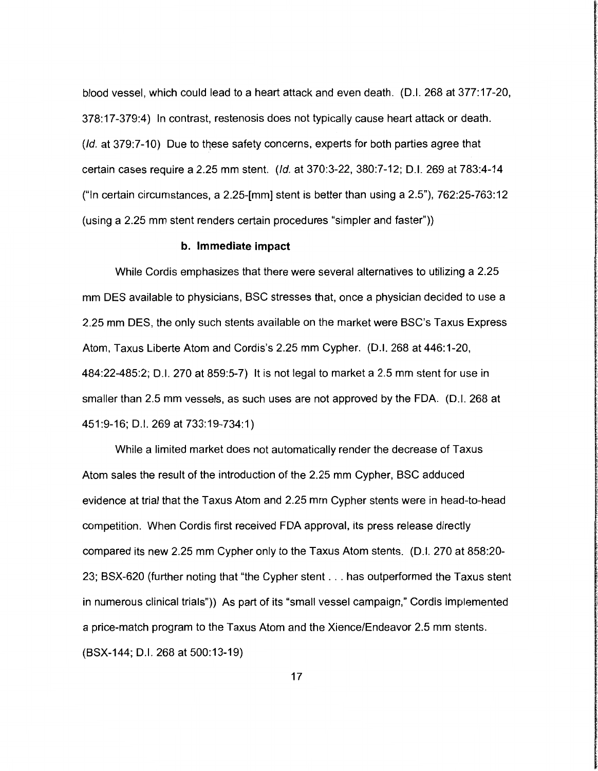blood vessel, which could lead to a heart attack and even death. (D.I. 268 at 377:17-20, 378:17-379:4) In contrast, restenosis does not typically cause heart attack or death.  $(d. at 379:7-10)$  Due to these safety concerns, experts for both parties agree that certain cases require a 2.25 mm stent. (/d. at 370:3-22, 380:7-12; D.l. 269 at 783:4-14 ("In certain circumstances, a 2.25-[mm] stent is better than using a 2.5"), 762:25-763:12 (using a 2.25 mm stent renders certain procedures "simpler and faster"))

#### **b. Immediate impact**

While Cordis emphasizes that there were several alternatives to utilizing a 2.25 mm DES available to physicians, BSC stresses that, once a physician decided to use a 2.25 mm DES, the only such stents available on the market were BSC's Taxus Express Atom, Taxus Liberte Atom and Cordis's 2.25 mm Cypher. (D.I. 268 at 446:1-20, 484:22-485:2; D.l. 270 at 859:5-7) It is not legal to market a 2.5 mm stent for use in smaller than 2.5 mm vessels, as such uses are not approved by the FDA. (D.I. 268 at 451 :9-16; D.l. 269 at 733:19-734:1)

While a limited market does not automatically render the decrease of Taxus Atom sales the result of the introduction of the 2.25 mm Cypher, BSC adduced evidence at trial that the Taxus Atom and 2.25 mm Cypher stents were in head-to-head competition. When Cordis first received FDA approval, its press release directly compared its new 2.25 mm Cypher only to the Taxus Atom stents. (D.I. 270 at 858:20- 23; BSX-620 (further noting that "the Cypher stent ... has outperformed the Taxus stent in numerous clinical trials")) As part of its "small vessel campaign," Cordis implemented a price-match program to the Taxus Atom and the Xience/Endeavor 2.5 mm stents. (BSX-144; D.l. 268 at 500:13-19)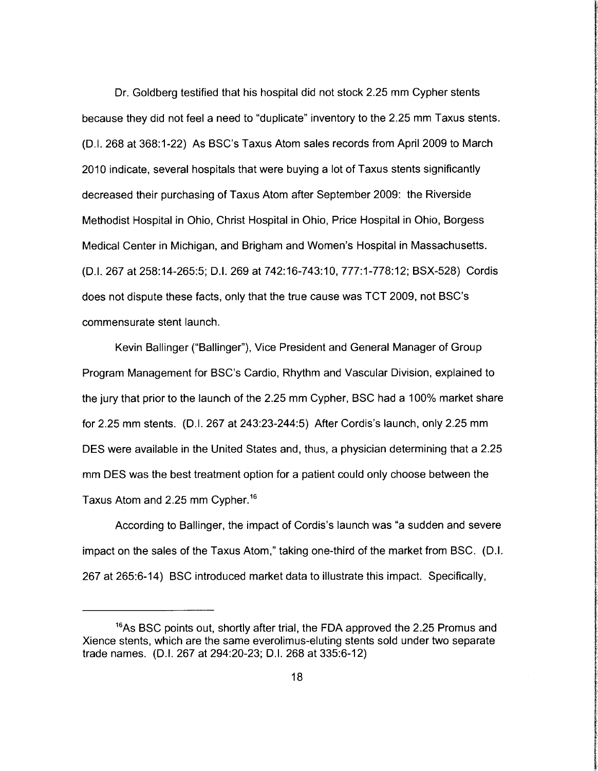Dr. Goldberg testified that his hospital did not stock 2.25 mm Cypher stents because they did not feel a need to "duplicate" inventory to the 2.25 mm Taxus stents. (D. I. 268 at 368:1-22) As BSC's Taxus Atom sales records from April 2009 to March 2010 indicate, several hospitals that were buying a lot of Taxus stents significantly decreased their purchasing of Taxus Atom after September 2009: the Riverside Methodist Hospital in Ohio, Christ Hospital in Ohio, Price Hospital in Ohio, Borgess Medical Center in Michigan, and Brigham and Women's Hospital in Massachusetts. (D.I. 267 at 258:14-265:5; D.l. 269 at 742:16-743:10, 777:1-778:12; BSX-528) Cordis does not dispute these facts, only that the true cause was TCT 2009, not BSC's commensurate stent launch.

**Inchester** 

**International Control** 

Kevin Ballinger ("Ballinger"), Vice President and General Manager of Group Program Management for BSC's Cardia, Rhythm and Vascular Division, explained to the jury that prior to the launch of the 2.25 mm Cypher, BSC had a 100% market share for 2.25 mm stents. (D.I. 267 at 243:23-244:5) After Cordis's launch, only 2.25 mm DES were available in the United States and, thus, a physician determining that a 2.25 mm DES was the best treatment option for a patient could only choose between the Taxus Atom and 2.25 mm Cypher. <sup>16</sup>

According to Ballinger, the impact of Cordis's launch was "a sudden and severe impact on the sales of the Taxus Atom," taking one-third of the market from BSC. (D.I. 267 at 265:6-14) BSC introduced market data to illustrate this impact. Specifically,

<sup>&</sup>lt;sup>16</sup>As BSC points out, shortly after trial, the FDA approved the 2.25 Promus and Xience stents, which are the same everolimus-eluting stents sold under two separate trade names. (D.I. 267 at 294:20-23; D. I. 268 at 335:6-12)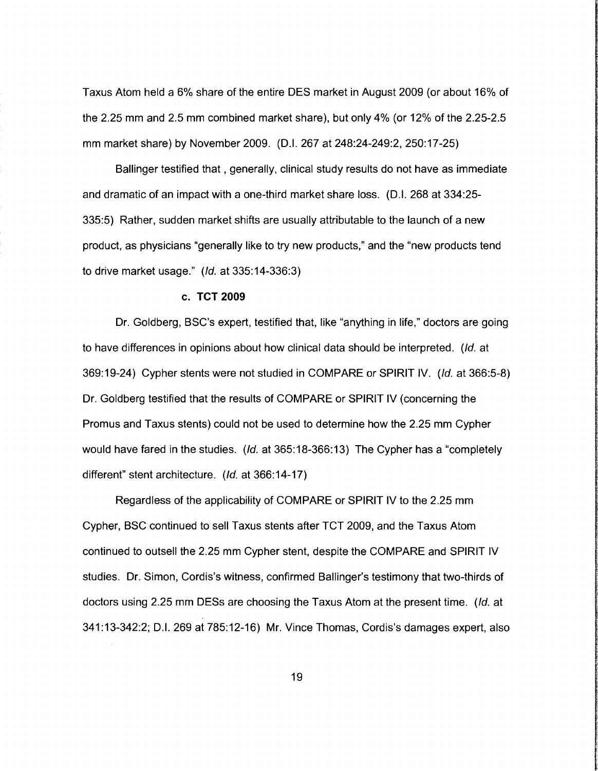Taxus Atom held a 6% share of the entire DES market in August 2009 (or about 16% of the 2.25 mm and 2.5 mm combined market share), but only 4% (or 12% of the 2.25-2.5 mm market share) by November 2009. (D.I. 267 at 248:24-249:2, 250:17-25)

Ballinger testified that, generally, clinical study results do not have as immediate and dramatic of an impact with a one-third market share loss. (D.I. 268 at 334:25- 335:5) Rather, sudden market shifts are usually attributable to the launch of a new product, as physicians "generally like to try new products," and the "new products tend to drive market usage." (/d. at 335:14-336:3)

#### **c. TCT 2009**

Dr. Goldberg, BSC's expert, testified that, like "anything in life," doctors are going to have differences in opinions about how clinical data should be interpreted. (/d. at 369:19-24) Cypher stents were not studied in COMPARE or SPIRIT IV. (/d. at 366:5-8) Dr. Goldberg testified that the results of COMPARE or SPIRIT IV (concerning the Promus and Taxus stents) could not be used to determine how the 2.25 mm Cypher would have fared in the studies. (Id. at 365:18-366:13) The Cypher has a "completely different" stent architecture. (*Id.* at 366:14-17)

**file** manager

Regardless of the applicability of COMPARE or SPIRIT IV to the 2.25 mm Cypher, BSC continued to sell Taxus stents after TCT 2009, and the Taxus Atom continued to outsell the 2.25 mm Cypher stent, despite the COMPARE and SPIRIT IV studies. Dr. Simon, Cordis's witness, confirmed Ballinger's testimony that two-thirds of doctors using 2.25 mm DESs are choosing the Taxus Atom at the present time. (/d. at 341:13-342:2; D.l. 269 at 785:12-16) Mr. Vince Thomas, Cordis's damages expert, also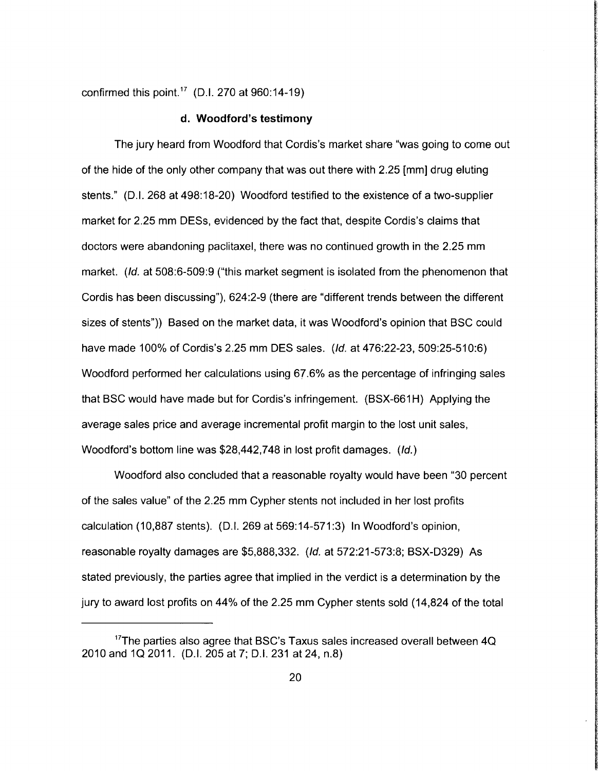confirmed this point.<sup>17</sup> (D.I. 270 at  $960:14-19$ )

#### **d. Woodford's testimony**

The jury heard from Woodford that Cordis's market share "was going to come out of the hide of the only other company that was out there with 2.25 [mm] drug eluting stents." (D.I. 268 at 498:18-20) Woodford testified to the existence of a two-supplier market for 2.25 mm DESs, evidenced by the fact that, despite Cordis's claims that doctors were abandoning paclitaxel, there was no continued growth in the 2.25 mm market. (*Id.* at 508:6-509:9 ("this market segment is isolated from the phenomenon that Cordis has been discussing"), 624:2-9 (there are "different trends between the different sizes of stents")) Based on the market data, it was Woodford's opinion that BSC could have made 100% of Cordis's 2.25 mm DES sales. (/d. at 476:22-23, 509:25-510:6) Woodford performed her calculations using 67.6% as the percentage of infringing sales that BSC would have made but for Cordis's infringement. (BSX-661H) Applying the average sales price and average incremental profit margin to the lost unit sales, Woodford's bottom line was \$28,442,748 in lost profit damages. (*Id.*)

<u>International Account Communication</u>

**Indiana Communication of the Communication** 

**International Action**  $\frac{1}{2}$ 

Woodford also concluded that a reasonable royalty would have been "30 percent of the sales value" of the 2.25 mm Cypher stents not included in her lost profits calculation (10,887 stents). (0.1. 269 at 569:14-571:3) In Woodford's opinion, reasonable royalty damages are \$5,888,332. (/d. at 572:21-573:8; BSX-0329) As stated previously, the parties agree that implied in the verdict is a determination by the jury to award lost profits on 44% of the 2.25 mm Cypher stents sold (14,824 of the total

 $17$ The parties also agree that BSC's Taxus sales increased overall between 4Q 2010 and 1Q 2011. (D.I. 205 at 7; D.I. 231 at 24, n.8)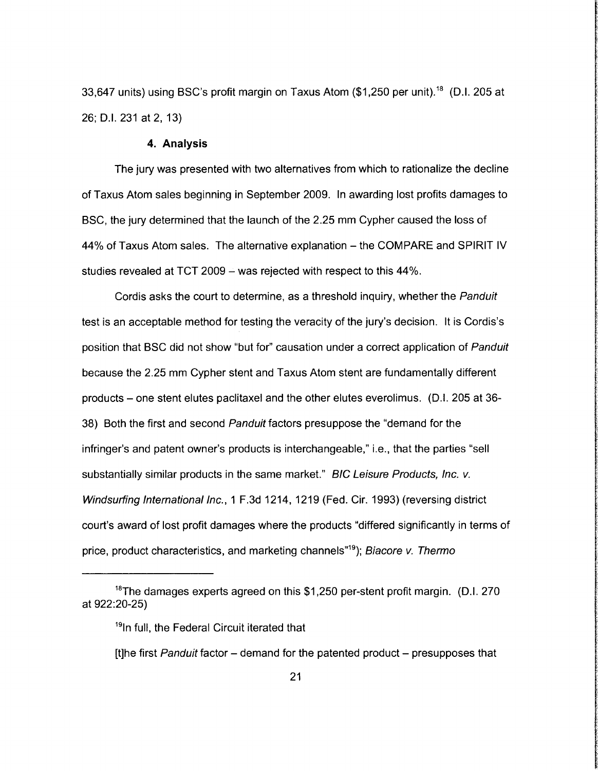33,647 units) using BSC's profit margin on Taxus Atom (\$1,250 per unit).<sup>18</sup> (D.I. 205 at 26; 0.1. 231 at 2, 13)

#### **4. Analysis**

The jury was presented with two alternatives from which to rationalize the decline of Taxus Atom sales beginning in September 2009. In awarding lost profits damages to BSC, the jury determined that the launch of the 2.25 mm Cypher caused the loss of 44% of Taxus Atom sales. The alternative explanation - the COMPARE and SPIRIT IV studies revealed at TCT 2009 – was rejected with respect to this 44%.

Cordis asks the court to determine, as a threshold inquiry, whether the Panduit test is an acceptable method for testing the veracity of the jury's decision. It is Cordis's position that BSC did not show "but for" causation under a correct application of Panduit because the 2.25 mm Cypher stent and Taxus Atom stent are fundamentally different products- one stent elutes paclitaxel and the other elutes everolimus. (0.1. 205 at 36- 38) Both the first and second Panduit factors presuppose the "demand for the infringer's and patent owner's products is interchangeable," i.e., that the parties "sell substantially similar products in the same market." BIC Leisure Products, Inc. v. Windsurfing International Inc., 1 F.3d 1214, 1219 (Fed. Cir. 1993) (reversing district court's award of lost profit damages where the products "differed significantly in terms of price, product characteristics, and marketing channels<sup>"19</sup>); Biacore v. Thermo

<sup>&</sup>lt;sup>18</sup>The damages experts agreed on this \$1,250 per-stent profit margin. (D.I. 270 at 922:20-25)

<sup>&</sup>lt;sup>19</sup>In full, the Federal Circuit iterated that

<sup>[</sup>t]he first Panduit factor  $-$  demand for the patented product  $-$  presupposes that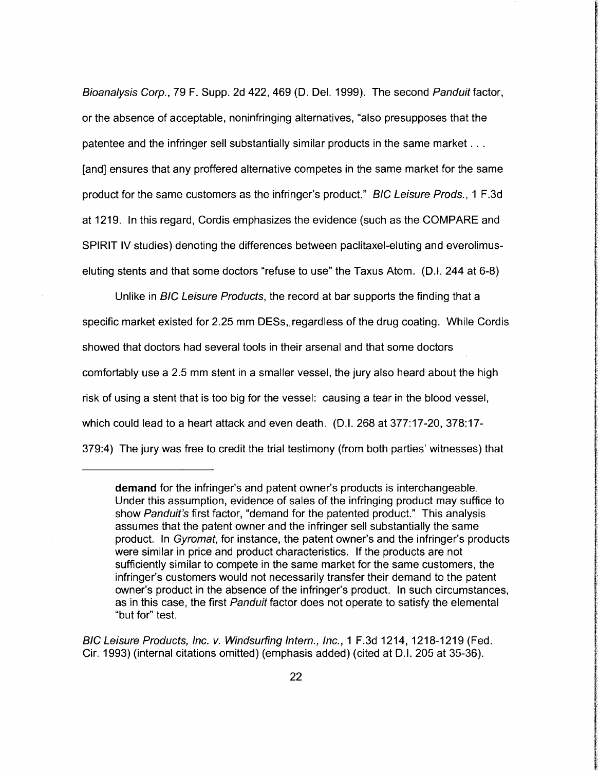Bioanalysis Corp., 79 F. Supp. 2d 422, 469 (D. Del. 1999). The second Panduit factor, or the absence of acceptable, noninfringing alternatives, "also presupposes that the patentee and the infringer sell substantially similar products in the same market ... [and] ensures that any proffered alternative competes in the same market for the same product for the same customers as the infringer's product." BIG Leisure Prods .. 1 F.3d at 1219. In this regard, Cordis emphasizes the evidence (such as the COMPARE and SPIRIT IV studies) denoting the differences between paclitaxel-eluting and everolimuseluting stents and that some doctors "refuse to use" the Taxus Atom. (D.I. 244 at 6-8)

Unlike in BIG Leisure Products, the record at bar supports the finding that a specific market existed for 2.25 mm DESs, regardless of the drug coating. While Cordis showed that doctors had several tools in their arsenal and that some doctors comfortably use a 2.5 mm stent in a smaller vessel, the jury also heard about the high risk of using a stent that is too big for the vessel: causing a tear in the blood vessel, which could lead to a heart attack and even death. (D.I. 268 at 377:17-20, 378:17- 379:4) The jury was free to credit the trial testimony (from both parties' witnesses) that

International American

**International Control**ler

**demand** for the infringer's and patent owner's products is interchangeable. Under this assumption, evidence of sales of the infringing product may suffice to show Panduit's first factor, "demand for the patented product." This analysis assumes that the patent owner and the infringer sell substantially the same product. In Gyromat, for instance, the patent owner's and the infringer's products were similar in price and product characteristics. If the products are not sufficiently similar to compete in the same market for the same customers, the infringer's customers would not necessarily transfer their demand to the patent owner's product in the absence of the infringer's product. In such circumstances, as in this case, the first Panduit factor does not operate to satisfy the elemental "but for" test.

BIC Leisure Products, Inc. v. Windsurfing Intern., Inc., 1 F.3d 1214, 1218-1219 (Fed. Cir. 1993) (internal citations omitted) (emphasis added) (cited at D.I. 205 at 35-36).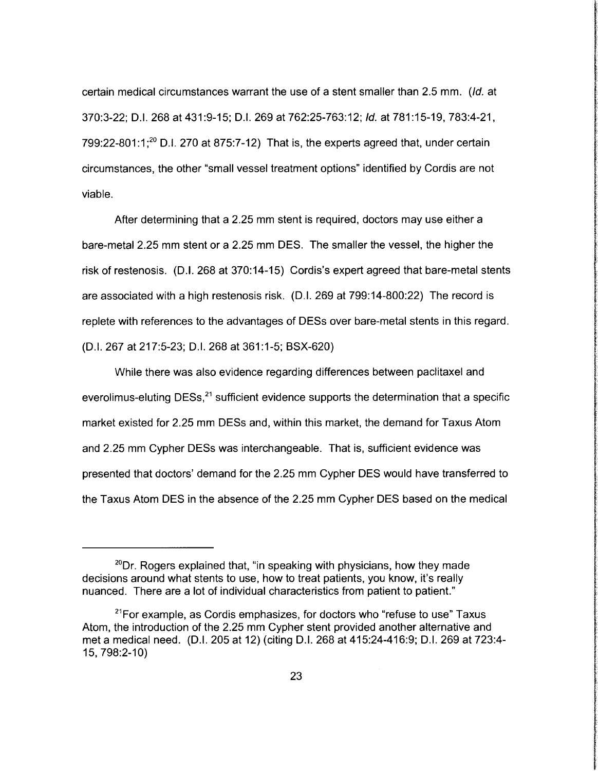certain medical circumstances warrant the use of a stent smaller than 2.5 mm. (/d. at 370:3-22; D.l. 268 at 431:9-15; D.l. 269 at 762:25-763:12; */d.* at 781:15-19,783:4-21,  $799:22$ -801:1;<sup>20</sup> D.I. 270 at 875:7-12) That is, the experts agreed that, under certain circumstances, the other "small vessel treatment options" identified by Cordis are not viable.

After determining that a 2.25 mm stent is required, doctors may use either a bare-metal 2.25 mm stent or a 2.25 mm DES. The smaller the vessel, the higher the risk of restenosis. (D.I. 268 at 370:14-15) Cordis's expert agreed that bare-metal stents are associated with a high restenosis risk. (D. I. 269 at 799:14-800:22) The record is replete with references to the advantages of DESs over bare-metal stents in this regard. (D.I. 267 at 217:5-23; D.l. 268 at 361 :1-5; BSX-620)

man management and a statement of the company of the company of the company of the company of the company of t

**for the collection** 

**Continental** 

in the control and control of the

Isha Casa a san ann an t-Shealachd ann an an a

f

**International Contract** 

*final contracts* 

While there was also evidence regarding differences between paclitaxel and everolimus-eluting  $DESS<sub>1</sub><sup>21</sup>$  sufficient evidence supports the determination that a specific market existed for 2.25 mm DESs and, within this market, the demand for Taxus Atom and 2.25 mm Cypher DESs was interchangeable. That is, sufficient evidence was presented that doctors' demand for the 2.25 mm Cypher DES would have transferred to the Taxus Atom DES in the absence of the 2.25 mm Cypher DES based on the medical

 $20$ Dr. Rogers explained that, "in speaking with physicians, how they made decisions around what stents to use, how to treat patients, you know, it's really nuanced. There are a lot of individual characteristics from patient to patient."

 $21$ For example, as Cordis emphasizes, for doctors who "refuse to use" Taxus Atom, the introduction of the 2.25 mm Cypher stent provided another alternative and met a medical need. (D.I. 205 at 12) (citing D.I. 268 at 415:24-416:9; D.I. 269 at 723:4-15, 798:2-10)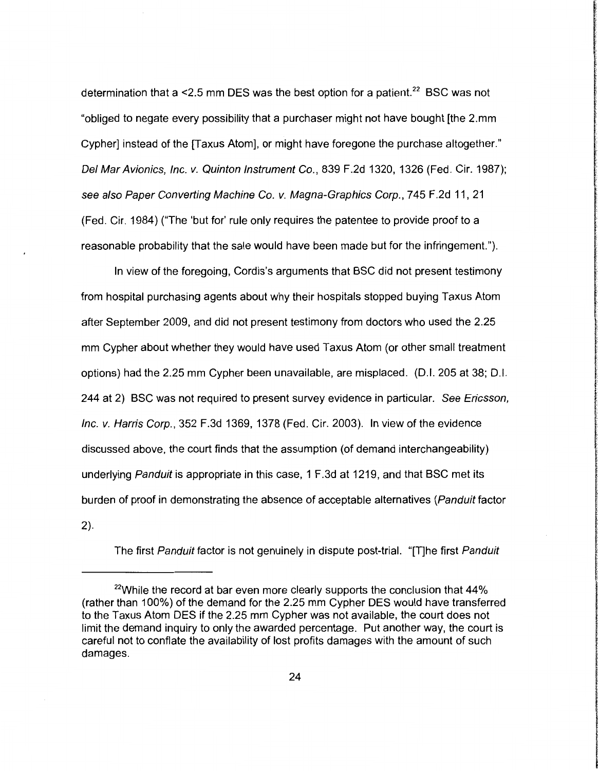determination that a <2.5 mm DES was the best option for a patient.<sup>22</sup> BSC was not "obliged to negate every possibility that a purchaser might not have bought [the 2.mm Cypher] instead of the [Taxus Atom], or might have foregone the purchase altogether." Del Mar Avionics, Inc. v. Quinton Instrument Co., 839 F .2d 1320, 1326 (Fed. Cir. 1987); see also Paper Converting Machine Co. v. Magna-Graphics Corp., 745 F.2d 11, 21 (Fed. Cir. 1984) ("The 'but for' rule only requires the patentee to provide proof to a reasonable probability that the sale would have been made but for the infringement.").

In view of the foregoing, Cordis's arguments that BSC did not present testimony from hospital purchasing agents about why their hospitals stopped buying Taxus Atom after September 2009, and did not present testimony from doctors who used the 2.25 mm Cypher about whether they would have used Taxus Atom (or other small treatment options) had the 2.25 mm Cypher been unavailable, are misplaced. (D.I. 205 at 38; D.l. 244 at 2) BSC was not required to present survey evidence in particular. See Ericsson, Inc. v. Harris Corp., 352 F.3d 1369, 1378 (Fed. Cir. 2003). In view of the evidence discussed above, the court finds that the assumption (of demand interchangeability) underlying Panduit is appropriate in this case, 1 F.3d at 1219, and that BSC met its burden of proof in demonstrating the absence of acceptable alternatives (Panduit factor 2).

The first Panduit factor is not genuinely in dispute post-trial. "[T]he first Panduit

 $22$ While the record at bar even more clearly supports the conclusion that  $44\%$ (rather than 100%) of the demand for the 2.25 mm Cypher DES would have transferred to the Taxus Atom DES if the 2.25 mm Cypher was not available, the court does not limit the demand inquiry to only the awarded percentage. Put another way, the court is careful not to conflate the availability of lost profits damages with the amount of such damages.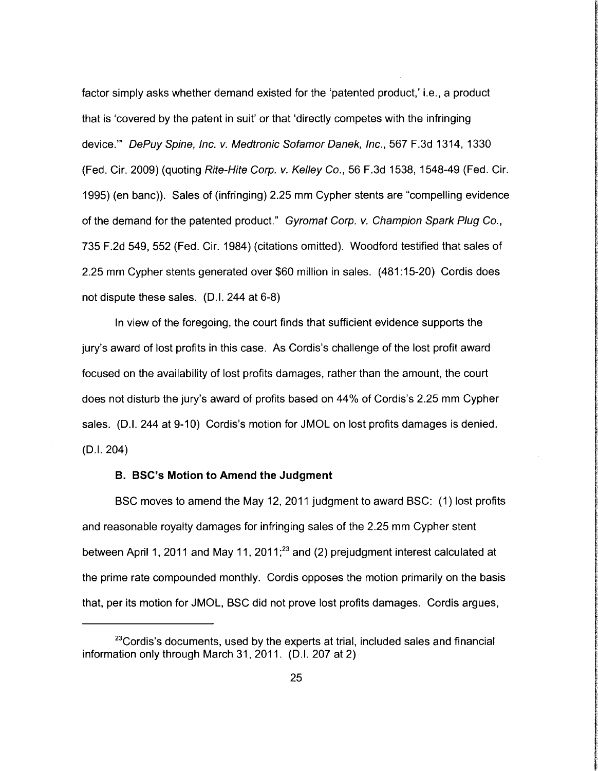factor simply asks whether demand existed for the 'patented product,' i.e., a product that is 'covered by the patent in suit' or that 'directly competes with the infringing device."' DePuy Spine, Inc. v. Medtronic Sofamor Danek, Inc., 567 F.3d 1314, 1330 (Fed. Cir. 2009) (quoting Rite-Hite Corp. v. Kelley Co., 56 F.3d 1538, 1548-49 (Fed. Cir. 1995) (en bane)). Sales of (infringing) 2.25 mm Cypher stents are "compelling evidence of the demand for the patented product." Gyromat Corp. v. Champion Spark Plug Co., 735 F.2d 549, 552 (Fed. Cir. 1984) (citations omitted). Woodford testified that sales of 2.25 mm Cypher stents generated over \$60 million in sales. (481 :15-20) Cordis does not dispute these sales. (D.I. 244 at 6-8)

In view of the foregoing, the court finds that sufficient evidence supports the jury's award of lost profits in this case. As Cordis's challenge of the lost profit award focused on the availability of lost profits damages, rather than the amount, the court does not disturb the jury's award of profits based on 44% of Cordis's 2.25 mm Cypher sales. (0.1. 244 at 9-10) Cordis's motion for JMOL on lost profits damages is denied. (0.1. 204)

#### **B. BSC's Motion to Amend the Judgment**

BSC moves to amend the May 12, 2011 judgment to award BSC: (1) lost profits and reasonable royalty damages for infringing sales of the 2.25 mm Cypher stent between April 1, 2011 and May 11, 2011; $^{23}$  and (2) prejudgment interest calculated at the prime rate compounded monthly. Cordis opposes the motion primarily on the basis that, per its motion for JMOL, BSC did not prove lost profits damages. Cordis argues,

l:

 $23$ Cordis's documents, used by the experts at trial, included sales and financial information only through March 31, 2011. (D.I. 207 at 2)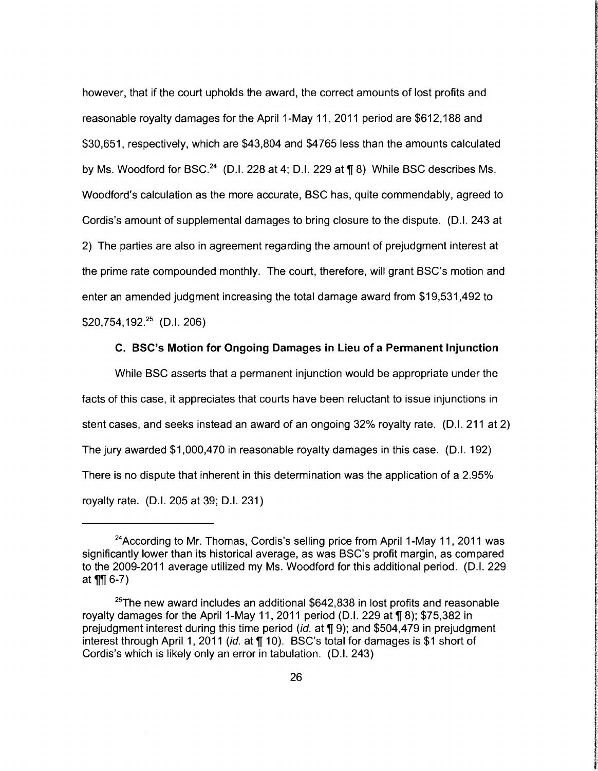however, that if the court upholds the award, the correct amounts of lost profits and reasonable royalty damages for the April 1-May 11, 2011 period are \$612,188 and \$30,651, respectively, which are \$43,804 and \$4765 less than the amounts calculated by Ms. Woodford for BSC.<sup>24</sup> (D.I. 228 at 4; D.I. 229 at  $\P$  8) While BSC describes Ms. Woodford's calculation as the more accurate, BSC has, quite commendably, agreed to Cordis's amount of supplemental damages to bring closure to the dispute. (0.1. 243 at 2) The parties are also in agreement regarding the amount of prejudgment interest at the prime rate compounded monthly. The court, therefore, will grant BSC's motion and enter an amended judgment increasing the total damage award from \$19,531 ,492 to  $$20,754,192.<sup>25</sup>$  (D.I. 206)

## C. BSC's Motion for Ongoing Damages in Lieu of a Permanent Injunction

*<u>the City of St</u>* ~

**International Constitution Constitution** 

**REGISTER** CONTROLLER

**INCHES** 

While BSC asserts that a permanent injunction would be appropriate under the facts of this case, it appreciates that courts have been reluctant to issue injunctions in stent cases, and seeks instead an award of an ongoing 32% royalty rate. (0.1. 211 at 2) The jury awarded \$1,000,470 in reasonable royalty damages in this case. (0.1. 192) There is no dispute that inherent in this determination was the application of a 2.95% royalty rate. (0.1. 205 at 39; 0.1. 231)

<sup>&</sup>lt;sup>24</sup> According to Mr. Thomas, Cordis's selling price from April 1-May 11, 2011 was significantly lower than its historical average, as was BSC's profit margin, as compared to the 2009-2011 average utilized my Ms. Woodford for this additional period. (0.1. 229 at  $\P\P$  6-7)

<sup>&</sup>lt;sup>25</sup>The new award includes an additional  $$642,838$  in lost profits and reasonable royalty damages for the April 1-May 11, 2011 period (D.I. 229 at  $\P$  8); \$75,382 in prejudgment interest during this time period (id. at  $\P$  9); and \$504,479 in prejudgment interest through April 1, 2011 (id. at  $\P$  10). BSC's total for damages is \$1 short of Cordis's which is likely only an error in tabulation. (0.1. 243)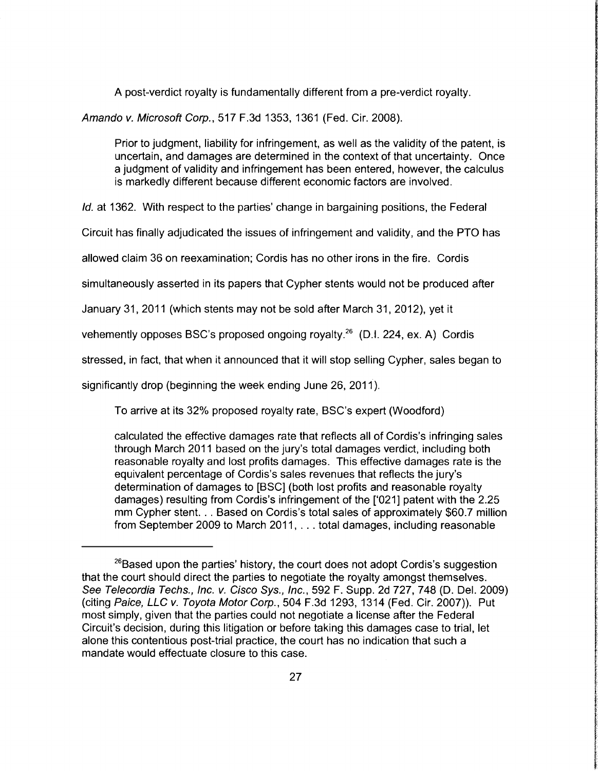A post-verdict royalty is fundamentally different from a pre-verdict royalty.

Amanda v. Microsoft Corp., 517 F.3d 1353, 1361 (Fed. Cir. 2008).

Prior to judgment, liability for infringement, as well as the validity of the patent, is uncertain, and damages are determined in the context of that uncertainty. Once a judgment of validity and infringement has been entered, however, the calculus is markedly different because different economic factors are involved.

**International Control Control** 

**INTERNATION** 

iteration of the content

**International Controls and State** 

*/d.* at 1362. With respect to the parties' change in bargaining positions, the Federal

Circuit has finally adjudicated the issues of infringement and validity, and the PTO has

allowed claim 36 on reexamination; Cordis has no other irons in the fire. Cordis

simultaneously asserted in its papers that Cypher stents would not be produced after

January 31, 2011 (which stents may not be sold after March 31, 2012), yet it

vehemently opposes BSC's proposed ongoing royalty.<sup>26</sup> (D.I. 224, ex. A) Cordis

stressed, in fact, that when it announced that it will stop selling Cypher, sales began to

significantly drop (beginning the week ending June 26, 2011).

To arrive at its 32% proposed royalty rate, BSC's expert (Woodford)

calculated the effective damages rate that reflects all of Cordis's infringing sales through March 2011 based on the jury's total damages verdict, including both reasonable royalty and lost profits damages. This effective damages rate is the equivalent percentage of Cordis's sales revenues that reflects the jury's determination of damages to [BSC] (both lost profits and reasonable royalty damages) resulting from Cordis's infringement of the ['021] patent with the 2.25 mm Cypher stent. .. Based on Cordis's total sales of approximately \$60.7 million from September 2009 to March 2011, ... total damages, including reasonable

 $26B$ ased upon the parties' history, the court does not adopt Cordis's suggestion that the court should direct the parties to negotiate the royalty amongst themselves. See Telecordia Techs., Inc. v. Cisco Sys., Inc., 592 F. Supp. 2d 727, 748 (D. Del. 2009) (citing Paice, LLC v. Toyota Motor Corp., 504 F.3d 1293, 1314 (Fed. Cir. 2007)). Put most simply, given that the parties could not negotiate a license after the Federal Circuit's decision, during this litigation or before taking this damages case to trial, let alone this contentious post-trial practice, the court has no indication that such a mandate would effectuate closure to this case.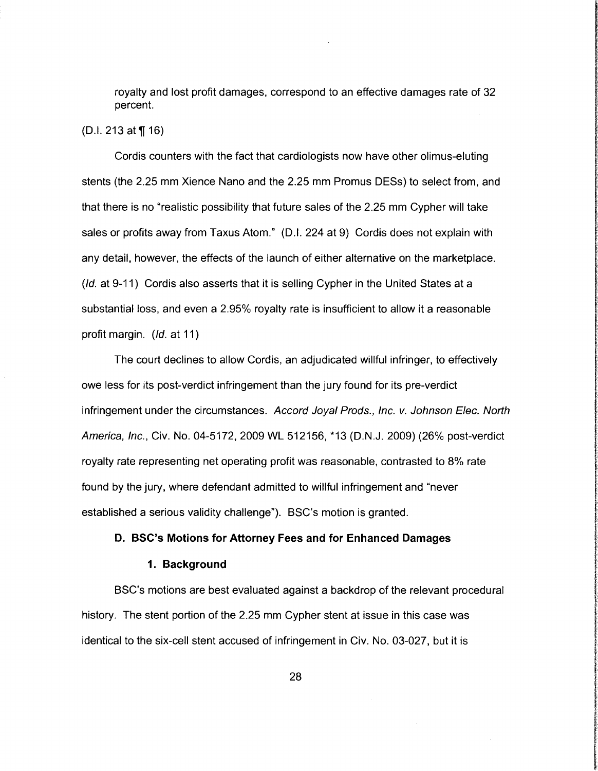royalty and lost profit damages, correspond to an effective damages rate of 32 percent.

# (D.I. 213 at  $\P(16)$

Cordis counters with the fact that cardiologists now have other olimus-eluting stents (the 2.25 mm Xience Nano and the 2.25 mm Promus OESs) to select from, and that there is no "realistic possibility that future sales of the 2.25 mm Cypher will take sales or profits away from Taxus Atom." (D.I. 224 at 9) Cordis does not explain with any detail, however, the effects of the launch of either alternative on the marketplace. (Id. at 9-11) Cordis also asserts that it is selling Cypher in the United States at a substantial loss, and even a 2.95% royalty rate is insufficient to allow it a reasonable profit margin. (*Id.* at 11)

The court declines to allow Cordis, an adjudicated willful infringer, to effectively owe less for its post-verdict infringement than the jury found for its pre-verdict infringement under the circumstances. Accord Joyal Prods., Inc. v. Johnson E/ec. North America, Inc., Civ. No. 04-5172, 2009 WL 512156, \*13 (O.N.J. 2009) (26% post-verdict royalty rate representing net operating profit was reasonable, contrasted to 8% rate found by the jury, where defendant admitted to willful infringement and "never established a serious validity challenge"). BSC's motion is granted.

#### **D. BSC's Motions for Attorney Fees and for Enhanced Damages**

#### **1. Background**

BSC's motions are best evaluated against a backdrop of the relevant procedural history. The stent portion of the 2.25 mm Cypher stent at issue in this case was identical to the six-cell stent accused of infringement in Civ. No. 03-027, but it is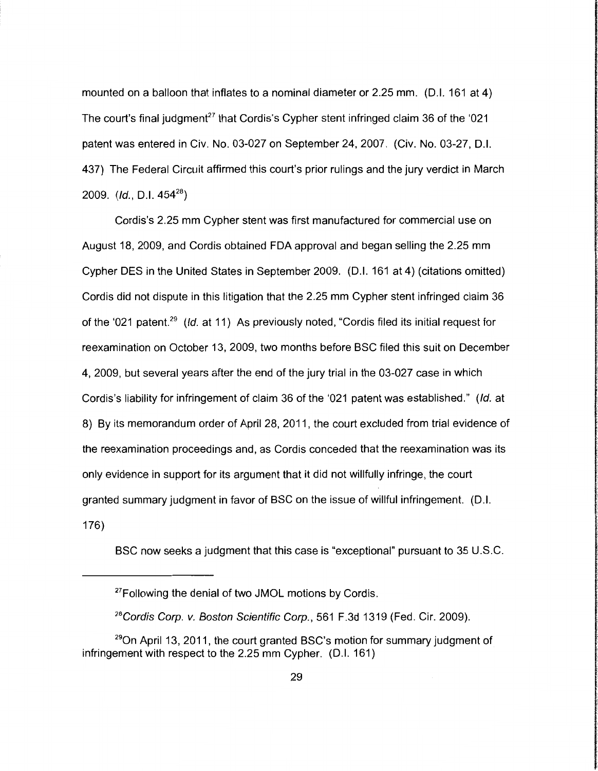mounted on a balloon that inflates to a nominal diameter or 2.25 mm. (D.I. 161 at 4) The court's final judgment<sup>27</sup> that Cordis's Cypher stent infringed claim 36 of the '021 patent was entered in Civ. No. 03-027 on September 24, 2007. (Civ. No. 03-27, D.l. 437) The Federal Circuit affirmed this court's prior rulings and the jury verdict in March 2009. *(/d.,* D.l. 45428 )

Cordis's 2.25 mm Cypher stent was first manufactured for commercial use on August 18, 2009, and Cordis obtained FDA approval and began selling the 2.25 mm Cypher DES in the United States in September 2009. (D.I. 161 at 4) (citations omitted) Cordis did not dispute in this litigation that the 2.25 mm Cypher stent infringed claim 36 of the '021 patent.<sup>29</sup> (*Id.* at 11) As previously noted, "Cordis filed its initial request for reexamination on October 13, 2009, two months before BSC filed this suit on December 4, 2009, but several years after the end of the jury trial in the 03-027 case in which Cordis's liability for infringement of claim 36 of the '021 patent was established." (/d. at 8) By its memorandum order of April 28, 2011, the court excluded from trial evidence of the reexamination proceedings and, as Cordis conceded that the reexamination was its only evidence in support for its argument that it did not willfully infringe, the court granted summary judgment in favor of BSC on the issue of willful infringement. (D.I. 176)

BSC now seeks a judgment that this case is "exceptional" pursuant to 35 U.S.C.

<sup>&</sup>lt;sup>27</sup>Following the denial of two JMOL motions by Cordis.

*<sup>28</sup>*Cordis Corp. v. Boston Scientific Corp., 561 F.3d 1319 (Fed. Cir. 2009).

 $29$ On April 13, 2011, the court granted BSC's motion for summary judgment of infringement with respect to the 2.25 mm Cypher. (D.I. 161)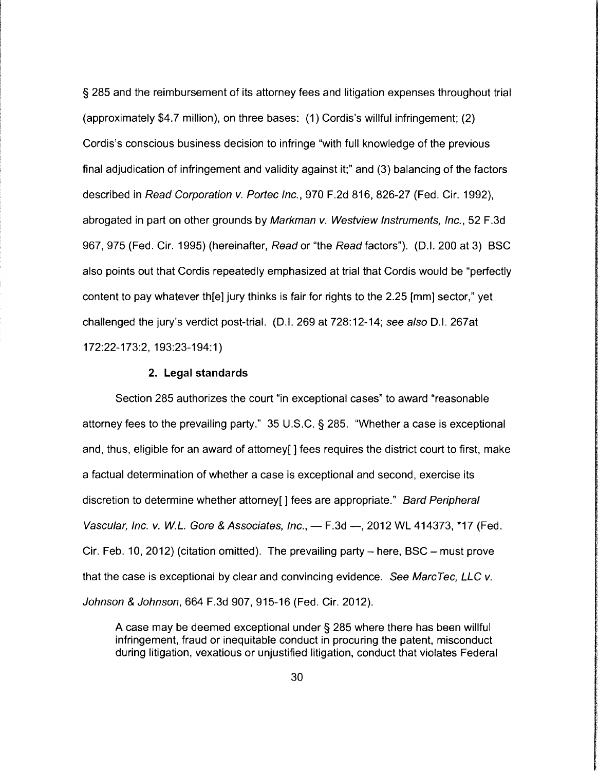§ 285 and the reimbursement of its attorney fees and litigation expenses throughout trial (approximately \$4.7 million), on three bases: (1) Cordis's willful infringement; (2) Cordis's conscious business decision to infringe "with full knowledge of the previous final adjudication of infringement and validity against it;" and (3) balancing of the factors described in Read Corporation v. Portee Inc., 970 F.2d 816, 826-27 (Fed. Cir. 1992), abrogated in part on other grounds by Markman v. Westview Instruments, Inc., 52 F.3d 967, 975 (Fed. Cir. 1995) (hereinafter, Read or "the Read factors"). (D.I. 200 at 3) BSC also points out that Cordis repeatedly emphasized at trial that Cordis would be "perfectly content to pay whatever th[e] jury thinks is fair for rights to the 2.25 [mm] sector," yet challenged the jury's verdict post-trial. (D.I. 269 at 728:12-14; see also D.I. 267at 172:22-173:2, 193:23-194:1)

# **2. Legal standards**

Section 285 authorizes the court "in exceptional cases" to award "reasonable attorney fees to the prevailing party." 35 U.S.C. § 285. "Whether a case is exceptional and, thus, eligible for an award of attorney[] fees requires the district court to first, make a factual determination of whether a case is exceptional and second, exercise its discretion to determine whether attorney[] fees are appropriate." Bard Peripheral Vascular, Inc. v. W.L. Gore & Associates, Inc., - F.3d -, 2012 WL 414373, \*17 (Fed. Cir. Feb. 10, 2012) (citation omitted). The prevailing party  $-$  here, BSC  $-$  must prove that the case is exceptional by clear and convincing evidence. See Marc Tec, LLC v. Johnson & Johnson, 664 F.3d 907, 915-16 (Fed. Cir. 2012).

A case may be deemed exceptional under § 285 where there has been willful infringement, fraud or inequitable conduct in procuring the patent, misconduct during litigation, vexatious or unjustified litigation, conduct that violates Federal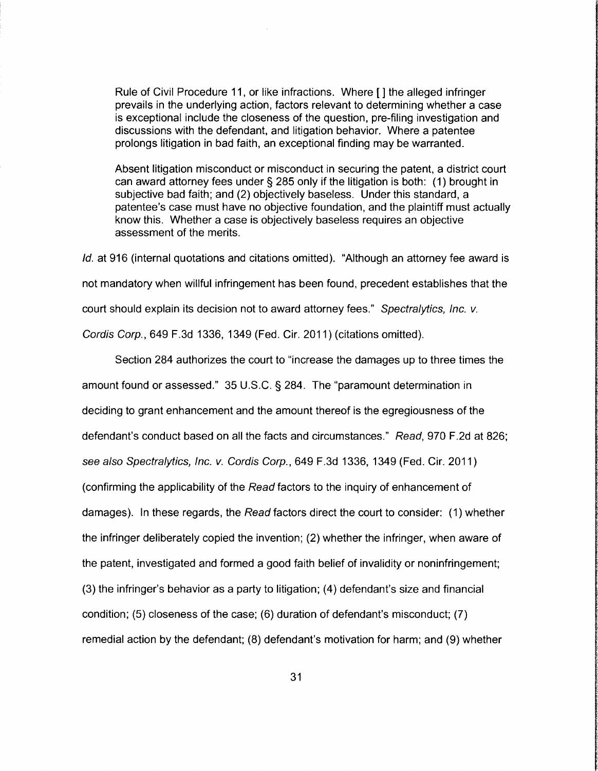Rule of Civil Procedure 11, or like infractions. Where [] the alleged infringer prevails in the underlying action, factors relevant to determining whether a case is exceptional include the closeness of the question, pre-filing investigation and discussions with the defendant, and litigation behavior. Where a patentee prolongs litigation in bad faith, an exceptional finding may be warranted.

Absent litigation misconduct or misconduct in securing the patent, a district court can award attorney fees under§ 285 only if the litigation is both: (1) brought in subjective bad faith; and (2) objectively baseless. Under this standard, a patentee's case must have no objective foundation, and the plaintiff must actually know this. Whether a case is objectively baseless requires an objective assessment of the merits.

*/d.* at 916 (internal quotations and citations omitted). "Although an attorney fee award is not mandatory when willful infringement has been found, precedent establishes that the court should explain its decision not to award attorney fees." Spectralytics, Inc. v. Cordis Corp., 649 F.3d 1336, 1349 (Fed. Cir. 2011) (citations omitted).

Section 284 authorizes the court to "increase the damages up to three times the amount found or assessed." 35 U.S.C. § 284. The "paramount determination in deciding to grant enhancement and the amount thereof is the egregiousness of the defendant's conduct based on all the facts and circumstances." Read, 970 F.2d at 826; see also Spectralytics, Inc. v. Cordis Corp., 649 F.3d 1336, 1349 (Fed. Cir. 2011) (confirming the applicability of the Read factors to the inquiry of enhancement of damages). In these regards, the Read factors direct the court to consider: (1) whether the infringer deliberately copied the invention; (2) whether the infringer, when aware of the patent, investigated and formed a good faith belief of invalidity or noninfringement; (3) the infringer's behavior as a party to litigation; (4) defendant's size and financial condition; (5) closeness of the case; (6) duration of defendant's misconduct; (7) remedial action by the defendant; (8) defendant's motivation for harm; and (9) whether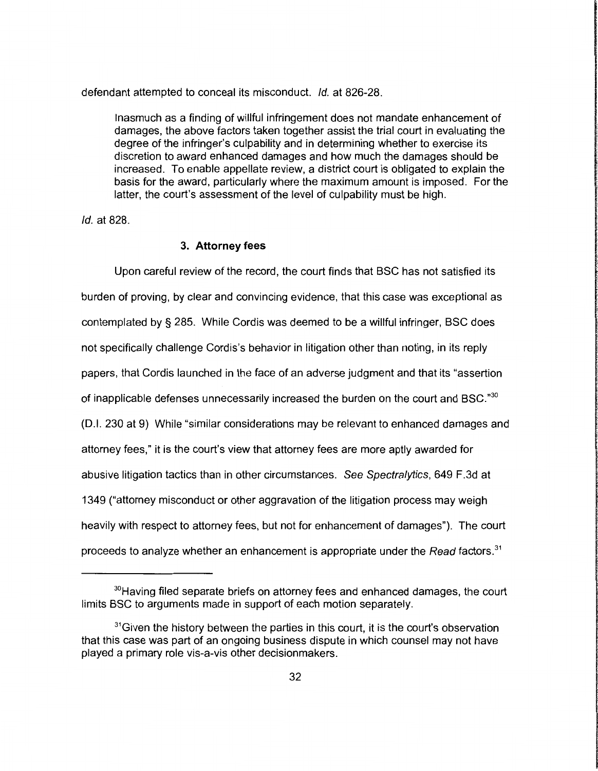defendant attempted to conceal its misconduct. */d.* at 826-28.

Inasmuch as a finding of willful infringement does not mandate enhancement of damages, the above factors taken together assist the trial court in evaluating the degree of the infringer's culpability and in determining whether to exercise its discretion to award enhanced damages and how much the damages should be increased. To enable appellate review, a district court is obligated to explain the basis for the award, particularly where the maximum amount is imposed. For the latter, the court's assessment of the level of culpability must be high.

*/d.* at 828.

## **3. Attorney fees**

Upon careful review of the record, the court finds that BSC has not satisfied its burden of proving, by clear and convincing evidence, that this case was exceptional as contemplated by § 285. While Cordis was deemed to be a willful infringer, BSC does not specifically challenge Cordis's behavior in litigation other than noting, in its reply papers, that Cordis launched in the face of an adverse judgment and that its "assertion of inapplicable defenses unnecessarily increased the burden on the court and BSC."<sup>30</sup> (0.1. 230 at 9) While "similar considerations may be relevant to enhanced damages and attorney fees," it is the court's view that attorney fees are more aptly awarded for abusive litigation tactics than in other circumstances. See Spectralytics, 649 F.3d at 1349 ("attorney misconduct or other aggravation of the litigation process may weigh heavily with respect to attorney fees, but not for enhancement of damages"). The court proceeds to analyze whether an enhancement is appropriate under the Read factors.<sup>31</sup>

<sup>&</sup>lt;sup>30</sup>Having filed separate briefs on attorney fees and enhanced damages, the court limits BSC to arguments made in support of each motion separately.

<sup>&</sup>lt;sup>31</sup>Given the history between the parties in this court, it is the court's observation that this case was part of an ongoing business dispute in which counsel may not have played a primary role vis-a-vis other decisionmakers.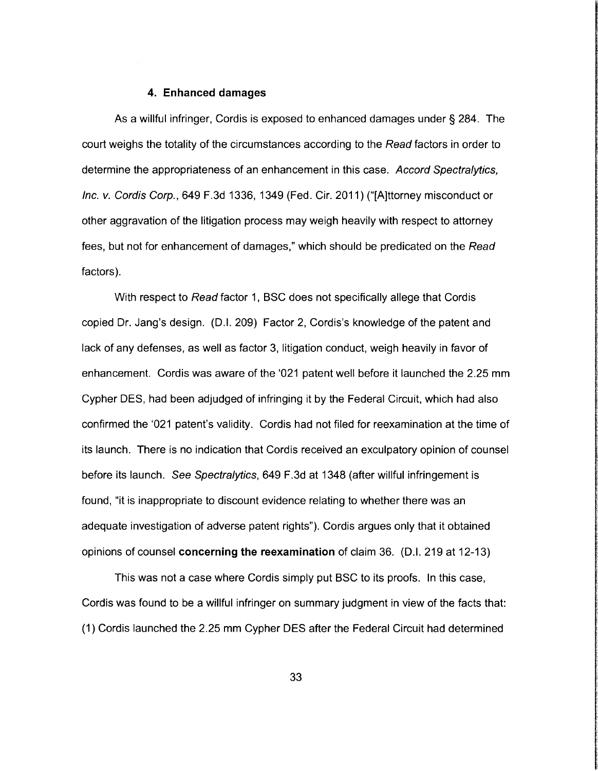#### **4. Enhanced damages**

As a willful infringer, Cordis is exposed to enhanced damages under § 284. The court weighs the totality of the circumstances according to the Read factors in order to determine the appropriateness of an enhancement in this case. Accord Spectralytics, Inc. v. Cordis Corp., 649 F.3d 1336, 1349 (Fed. Cir. 2011) ("[A]ttorney misconduct or other aggravation of the litigation process may weigh heavily with respect to attorney fees, but not for enhancement of damages," which should be predicated on the Read factors).

With respect to Read factor 1, SSC does not specifically allege that Cordis copied Dr. Jang's design. (D.I. 209) Factor 2, Cordis's knowledge of the patent and lack of any defenses, as well as factor 3, litigation conduct, weigh heavily in favor of enhancement. Cordis was aware of the '021 patent well before it launched the 2.25 mm Cypher DES, had been adjudged of infringing it by the Federal Circuit, which had also confirmed the '021 patent's validity. Cordis had not filed for reexamination at the time of its launch. There is no indication that Cordis received an exculpatory opinion of counsel before its launch. See Spectra/ytics, 649 F.3d at 1348 (after willful infringement is found, "it is inappropriate to discount evidence relating to whether there was an adequate investigation of adverse patent rights"). Cordis argues only that it obtained opinions of counsel **concerning the reexamination** of claim 36. (D.I. 219 at 12-13)

This was not a case where Cordis simply put BSC to its proofs. In this case, Cordis was found to be a willful infringer on summary judgment in view of the facts that: (1) Cordis launched the 2.25 mm Cypher DES after the Federal Circuit had determined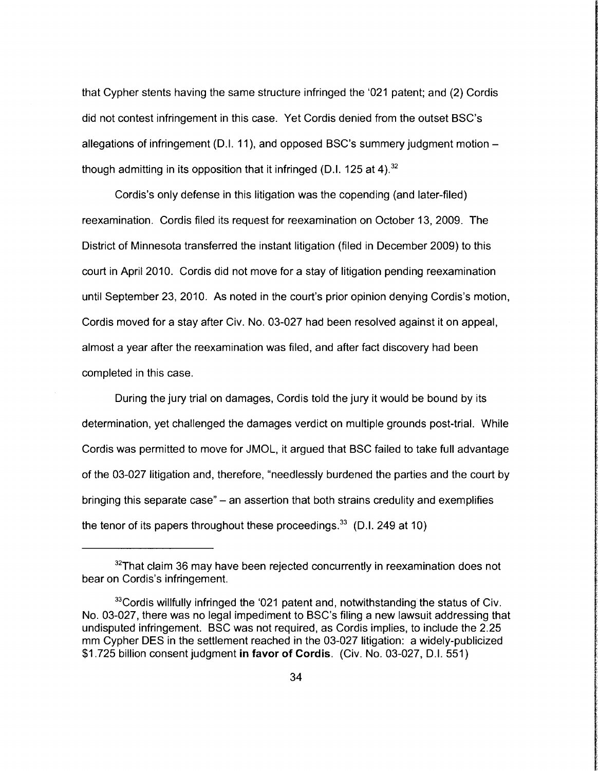that Cypher stents having the same structure infringed the '021 patent; and (2) Cordis did not contest infringement in this case. Yet Cordis denied from the outset BSC's allegations of infringement (D.I. 11 ), and opposed BSC's summery judgment motionthough admitting in its opposition that it infringed (D.I. 125 at 4).<sup>32</sup>

Cordis's only defense in this litigation was the copending (and later-filed) reexamination. Cordis filed its request for reexamination on October 13, 2009. The District of Minnesota transferred the instant litigation (filed in December 2009) to this court in April 2010. Cordis did not move for a stay of litigation pending reexamination until September 23, 2010. As noted in the court's prior opinion denying Cordis's motion, Cordis moved for a stay after Civ. No. 03-027 had been resolved against it on appeal, almost a year after the reexamination was filed, and after fact discovery had been completed in this case.

During the jury trial on damages, Cordis told the jury it would be bound by its determination, yet challenged the damages verdict on multiple grounds post-trial. While Cordis was permitted to move for JMOL, it argued that BSC failed to take full advantage of the 03-027 litigation and, therefore, "needlessly burdened the parties and the court by bringing this separate case" - an assertion that both strains credulity and exemplifies the tenor of its papers throughout these proceedings. $33$  (D.I. 249 at 10)

 $32$ That claim 36 may have been rejected concurrently in reexamination does not bear on Cordis's infringement.

<sup>&</sup>lt;sup>33</sup>Cordis willfully infringed the '021 patent and, notwithstanding the status of Civ. No. 03-027, there was no legal impediment to BSC's filing a new lawsuit addressing that undisputed infringement. BSC was not required, as Cordis implies, to include the 2.25 mm Cypher DES in the settlement reached in the 03-027 litigation: a widely-publicized \$1.725 billion consent judgment **in favor of Cordis.** (Civ. No. 03-027, D.l. 551)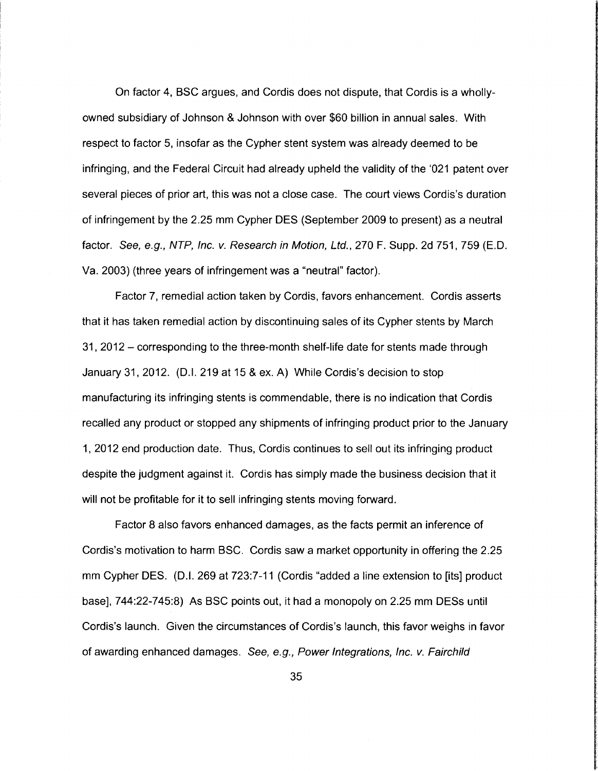On factor 4, BSC argues, and Cordis does not dispute, that Cordis is a whollyowned subsidiary of Johnson & Johnson with over \$60 billion in annual sales. With respect to factor 5, insofar as the Cypher stent system was already deemed to be infringing, and the Federal Circuit had already upheld the validity of the '021 patent over several pieces of prior art, this was not a close case. The court views Cordis's duration of infringement by the 2.25 mm Cypher DES (September 2009 to present) as a neutral factor. See, e.g., NTP, Inc. v. Research in Motion, Ltd., 270 F. Supp. 2d 751, 759 (E.D. Va. 2003) (three years of infringement was a "neutral" factor).

Factor 7, remedial action taken by Cordis, favors enhancement. Cordis asserts that it has taken remedial action by discontinuing sales of its Cypher stents by March 31, 2012- corresponding to the three-month shelf-life date for stents made through January 31,2012. (D.I. 219 at 15 & ex. A) While Cordis's decision to stop manufacturing its infringing stents is commendable, there is no indication that Cordis recalled any product or stopped any shipments of infringing product prior to the January 1, 2012 end production date. Thus, Cordis continues to sell out its infringing product despite the judgment against it. Cordis has simply made the business decision that it will not be profitable for it to sell infringing stents moving forward.

Factor 8 also favors enhanced damages, as the facts permit an inference of Cordis's motivation to harm BSC. Cordis saw a market opportunity in offering the 2.25 mm Cypher DES. (D.I. 269 at 723:7-11 (Cordis "added a line extension to [its] product base), 744:22-745:8) As BSC points out, it had a monopoly on 2.25 mm DESs until Cordis's launch. Given the circumstances of Cordis's launch, this favor weighs in favor of awarding enhanced damages. See, e.g., Power Integrations, Inc. v. Fairchild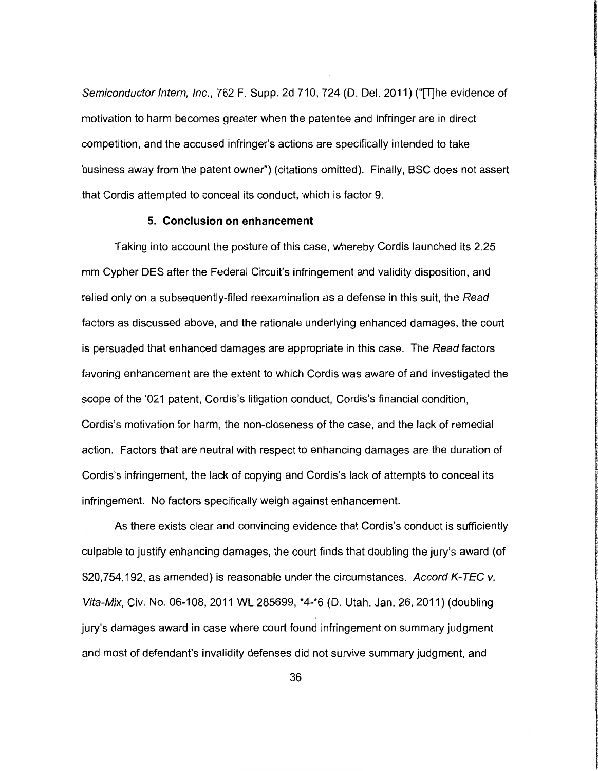Semiconductor Intern, Inc., 762 F. Supp. 2d 710, 724 (D. Del. 2011) ("[T]he evidence of motivation to harm becomes greater when the patentee and infringer are in direct competition, and the accused infringer's actions are specifically intended to take business away from the patent owner") (citations omitted). Finally, BSC does not assert that Cordis attempted to conceal its conduct, which is factor 9.

#### **5. Conclusion on enhancement**

Taking into account the posture of this case, whereby Cordis launched its 2.25 mm Cypher DES after the Federal Circuit's infringement and validity disposition, and relied only on a subsequently-filed reexamination as a defense in this suit, the Read factors as discussed above, and the rationale underlying enhanced damages, the court is persuaded that enhanced damages are appropriate in this case. The Read factors favoring enhancement are the extent to which Cordis was aware of and investigated the scope of the '021 patent, Cordis's litigation conduct, Cordis's financial condition, Cordis's motivation for harm, the non-closeness of the case, and the lack of remedial action. Factors that are neutral with respect to enhancing damages are the duration of Cordis's infringement, the lack of copying and Cordis's lack of attempts to conceal its infringement. No factors specifically weigh against enhancement.

As there exists clear and convincing evidence that Cordis's conduct is sufficiently culpable to justify enhancing damages, the court finds that doubling the jury's award (of \$20,754,192, as amended) is reasonable under the circumstances. Accord K-TEC v. Vita-Mix, Civ. No. 06-108, 2011 WL 285699, \*4-\*6 (D. Utah. Jan. 26, 2011) (doubling jury's damages award in case where court found infringement on summary judgment and most of defendant's invalidity defenses did not survive summary judgment, and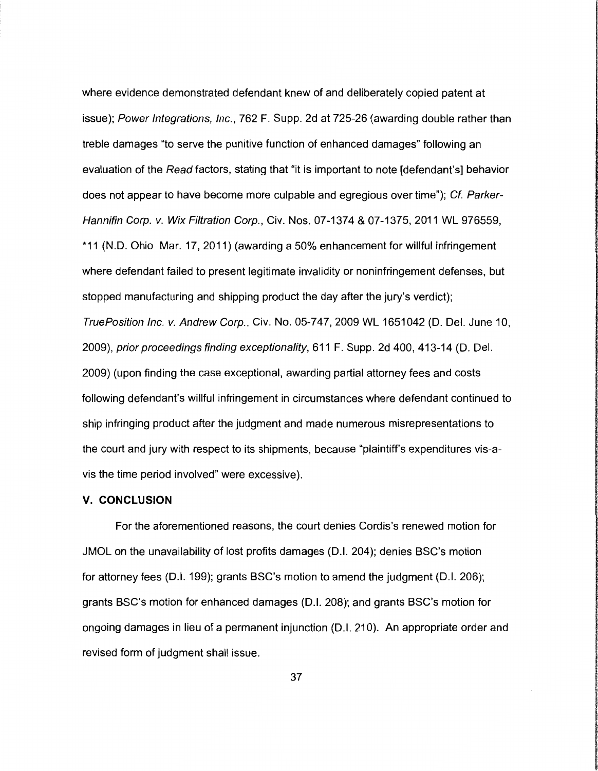where evidence demonstrated defendant knew of and deliberately copied patent at issue); Power Integrations, Inc., 762 F. Supp. 2d at 725-26 (awarding double rather than treble damages "to serve the punitive function of enhanced damages" following an evaluation of the Read factors, stating that "it is important to note [defendant's] behavior does not appear to have become more culpable and egregious over time"); Cf. Parker-Hannifin Corp. v. Wix Filtration Corp., Civ. Nos. 07-1374 & 07-1375, 2011 WL 976559, \*11 (N.D. Ohio Mar. 17, 2011) (awarding a 50% enhancement for willful infringement where defendant failed to present legitimate invalidity or noninfringement defenses, but stopped manufacturing and shipping product the day after the jury's verdict); TruePosition Inc. v. Andrew Corp., Civ. No. 05-747,2009 WL 1651042 (D. Del. June 10, 2009), prior proceedings finding exceptionality, 611 F. Supp. 2d 400, 413-14 (D. Del. 2009) (upon finding the case exceptional, awarding partial attorney fees and costs following defendant's willful infringement in circumstances where defendant continued to ship infringing product after the judgment and made numerous misrepresentations to the court and jury with respect to its shipments, because "plaintiff's expenditures vis-avis the time period involved" were excessive).

# **V. CONCLUSION**

For the aforementioned reasons, the court denies Cordis's renewed motion for JMOL on the unavailability of lost profits damages (D. I. 204); denies BSC's motion for attorney fees (D.I. 199); grants BSC's motion to amend the judgment (D.I. 206); grants BSC's motion for enhanced damages (D.I. 208); and grants BSC's motion for ongoing damages in lieu of a permanent injunction (D.I. 210). An appropriate order and revised form of judgment shall issue.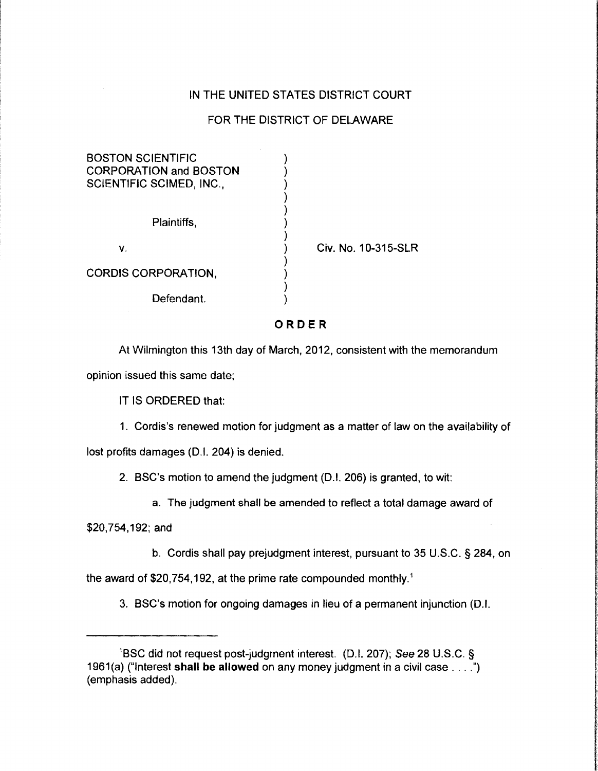# IN THE UNITED STATES DISTRICT COURT

# FOR THE DISTRICT OF DELAWARE

| <b>BOSTON SCIENTIFIC</b><br><b>CORPORATION and BOSTON</b><br><b>SCIENTIFIC SCIMED, INC.,</b> |                     |
|----------------------------------------------------------------------------------------------|---------------------|
| Plaintiffs,                                                                                  | Civ. No. 10-315-SLR |
| ۷.                                                                                           |                     |
| <b>CORDIS CORPORATION,</b>                                                                   |                     |
| Defendant.                                                                                   |                     |

# ORDER

At Wilmington this 13th day of March, 2012, consistent with the memorandum opinion issued this same date;

IT IS ORDERED that:

1. Cordis's renewed motion for judgment as a matter of law on the availability of

lost profits damages (D.I. 204) is denied.

2. BSC's motion to amend the judgment (D.I. 206) is granted, to wit:

a. The judgment shall be amended to reflect a total damage award of

\$20,754, 192; and

b. Cordis shall pay prejudgment interest, pursuant to 35 U.S.C. § 284, on

**International discussion and contract of the contract of the contract of the contract of the contract of the c**<br>International contract of the contract of the contract of the contract of the contract of the contract of the

**International** 

the award of \$20,754,192, at the prime rate compounded monthly.<sup>1</sup>

3. BSC's motion for ongoing damages in lieu of a permanent injunction (D.I.

<sup>&</sup>lt;sup>1</sup>BSC did not request post-judgment interest. (D.I. 207); See 28 U.S.C. § 1961(a) ("Interest shall be allowed on any money judgment in a civil case . . . .") (emphasis added).